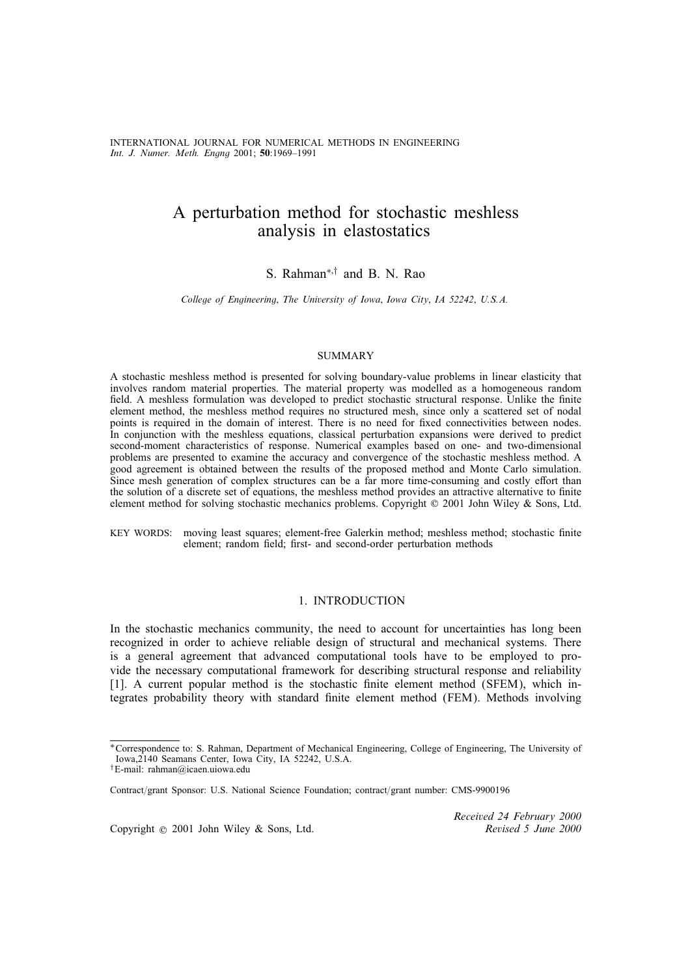# A perturbation method for stochastic meshless analysis in elastostatics

S. Rahman<sup>∗,†</sup> and B. N. Rao

*College of Engineering*; *The University of Iowa*; *Iowa City*; *IA 52242*; *U.S.A.*

# **SUMMARY**

A stochastic meshless method is presented for solving boundary-value problems in linear elasticity that involves random material properties. The material property was modelled as a homogeneous random field. A meshless formulation was developed to predict stochastic structural response. Unlike the finite element method, the meshless method requires no structured mesh, since only a scattered set of nodal points is required in the domain of interest. There is no need for fixed connectivities between nodes. In conjunction with the meshless equations, classical perturbation expansions were derived to predict second-moment characteristics of response. Numerical examples based on one- and two-dimensional problems are presented to examine the accuracy and convergence of the stochastic meshless method. A good agreement is obtained between the results of the proposed method and Monte Carlo simulation. Since mesh generation of complex structures can be a far more time-consuming and costly effort than the solution of a discrete set of equations, the meshless method provides an attractive alternative to finite element method for solving stochastic mechanics problems. Copyright  $\odot$  2001 John Wiley & Sons, Ltd.

KEY WORDS: moving least squares; element-free Galerkin method; meshless method; stochastic finite element; random field; first- and second-order perturbation methods

#### 1. INTRODUCTION

In the stochastic mechanics community, the need to account for uncertainties has long been recognized in order to achieve reliable design of structural and mechanical systems. There is a general agreement that advanced computational tools have to be employed to provide the necessary computational framework for describing structural response and reliability [1]. A current popular method is the stochastic finite element method (SFEM), which integrates probability theory with standard finite element method (FEM). Methods involving

Copyright ? 2001 John Wiley & Sons, Ltd. *Revised 5 June 2000*

*Received 24 February 2000*

<sup>∗</sup>Correspondence to: S. Rahman, Department of Mechanical Engineering, College of Engineering, The University of Iowa,2140 Seamans Center, Iowa City, IA 52242, U.S.A.

<sup>†</sup>E-mail: rahman@icaen.uiowa.edu

Contract/grant Sponsor: U.S. National Science Foundation; contract/grant number: CMS-9900196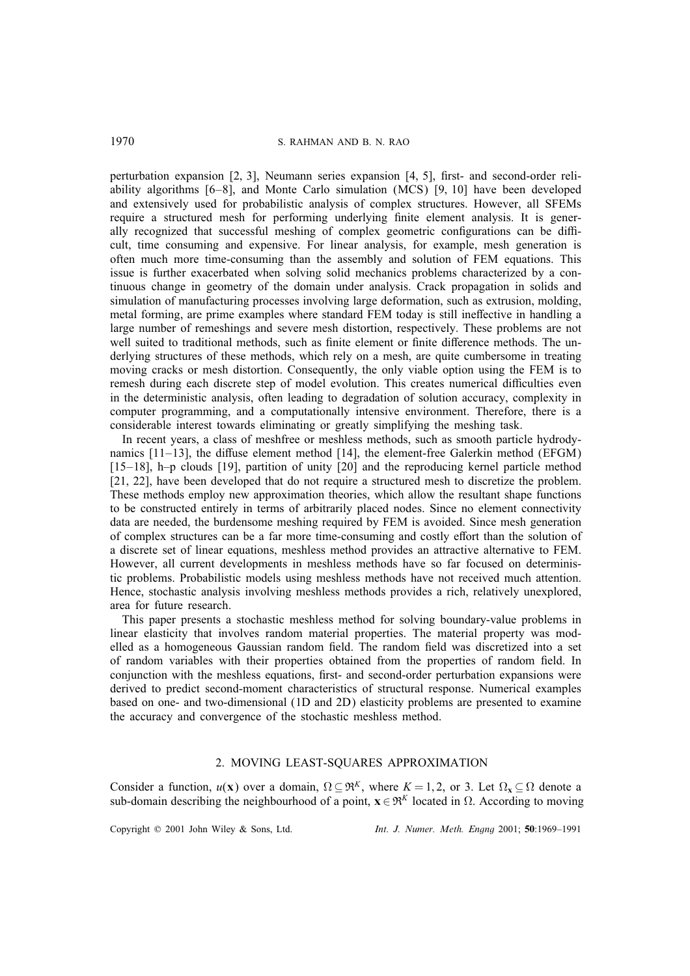perturbation expansion  $[2, 3]$ , Neumann series expansion  $[4, 5]$ , first- and second-order reliability algorithms [6–8], and Monte Carlo simulation (MCS) [9; 10] have been developed and extensively used for probabilistic analysis of complex structures. However, all SFEMs require a structured mesh for performing underlying nite element analysis. It is generally recognized that successful meshing of complex geometric configurations can be difficult, time consuming and expensive. For linear analysis, for example, mesh generation is often much more time-consuming than the assembly and solution of FEM equations. This issue is further exacerbated when solving solid mechanics problems characterized by a continuous change in geometry of the domain under analysis. Crack propagation in solids and simulation of manufacturing processes involving large deformation, such as extrusion, molding, metal forming, are prime examples where standard FEM today is still ineffective in handling a large number of remeshings and severe mesh distortion, respectively. These problems are not well suited to traditional methods, such as finite element or finite difference methods. The underlying structures of these methods, which rely on a mesh, are quite cumbersome in treating moving cracks or mesh distortion. Consequently, the only viable option using the FEM is to remesh during each discrete step of model evolution. This creates numerical difficulties even in the deterministic analysis, often leading to degradation of solution accuracy, complexity in computer programming, and a computationally intensive environment. Therefore, there is a considerable interest towards eliminating or greatly simplifying the meshing task.

In recent years, a class of meshfree or meshless methods, such as smooth particle hydrodynamics  $[11-13]$ , the diffuse element method  $[14]$ , the element-free Galerkin method (EFGM) [15–18], h–p clouds [19], partition of unity [20] and the reproducing kernel particle method [21; 22], have been developed that do not require a structured mesh to discretize the problem. These methods employ new approximation theories, which allow the resultant shape functions to be constructed entirely in terms of arbitrarily placed nodes. Since no element connectivity data are needed, the burdensome meshing required by FEM is avoided. Since mesh generation of complex structures can be a far more time-consuming and costly effort than the solution of a discrete set of linear equations, meshless method provides an attractive alternative to FEM. However, all current developments in meshless methods have so far focused on deterministic problems. Probabilistic models using meshless methods have not received much attention. Hence, stochastic analysis involving meshless methods provides a rich, relatively unexplored, area for future research.

This paper presents a stochastic meshless method for solving boundary-value problems in linear elasticity that involves random material properties. The material property was modelled as a homogeneous Gaussian random field. The random field was discretized into a set of random variables with their properties obtained from the properties of random field. In conjunction with the meshless equations, first- and second-order perturbation expansions were derived to predict second-moment characteristics of structural response. Numerical examples based on one- and two-dimensional (1D and 2D) elasticity problems are presented to examine the accuracy and convergence of the stochastic meshless method.

#### 2. MOVING LEAST-SQUARES APPROXIMATION

Consider a function,  $u(\mathbf{x})$  over a domain,  $\Omega \subseteq \mathfrak{R}^K$ , where  $K = 1, 2$ , or 3. Let  $\Omega_{\mathbf{x}} \subseteq \Omega$  denote a sub-domain describing the neighbourhood of a point,  $\mathbf{x} \in \mathbb{R}^K$  located in  $\Omega$ . According to moving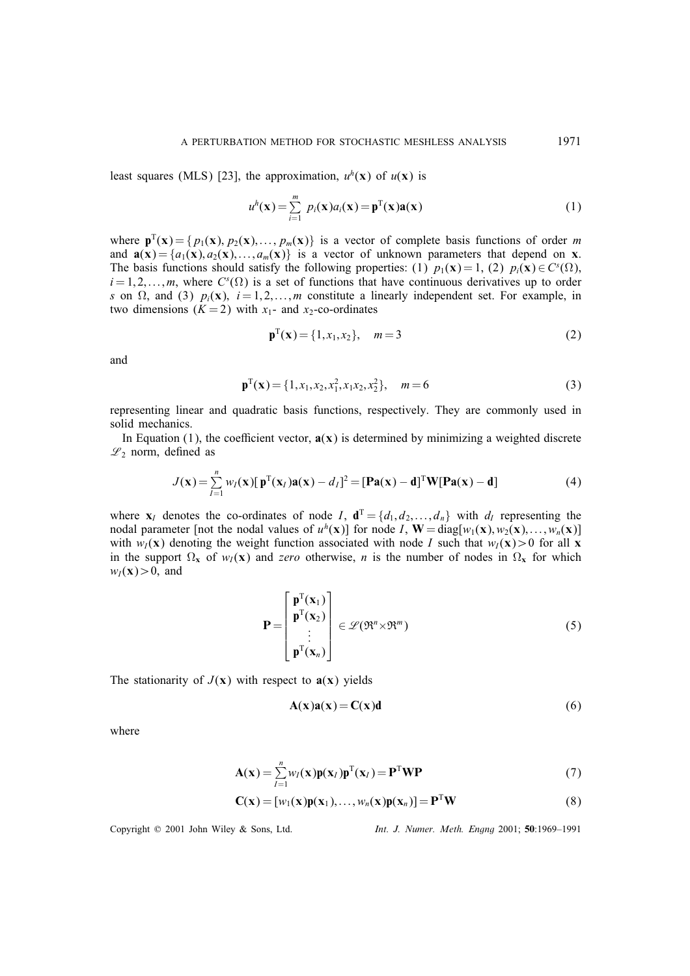least squares (MLS) [23], the approximation,  $u^h(x)$  of  $u(x)$  is

$$
u^{h}(\mathbf{x}) = \sum_{i=1}^{m} p_{i}(\mathbf{x}) a_{i}(\mathbf{x}) = \mathbf{p}^{T}(\mathbf{x}) \mathbf{a}(\mathbf{x})
$$
\n(1)

where  $\mathbf{p}^T(\mathbf{x}) = \{p_1(\mathbf{x}), p_2(\mathbf{x}), \dots, p_m(\mathbf{x})\}$  is a vector of complete basis functions of order m and  $\mathbf{a}(\mathbf{x}) = \{a_1(\mathbf{x}), a_2(\mathbf{x}),..., a_m(\mathbf{x})\}$  is a vector of unknown parameters that depend on x. The basis functions should satisfy the following properties: (1)  $p_1(\mathbf{x}) = 1$ , (2)  $p_i(\mathbf{x}) \in C<sup>s</sup>(\Omega)$ ,  $i = 1, 2, \ldots, m$ , where  $C^{s}(\Omega)$  is a set of functions that have continuous derivatives up to order s on  $\Omega$ , and (3)  $p_i(\mathbf{x})$ ,  $i = 1, 2, ..., m$  constitute a linearly independent set. For example, in two dimensions  $(K = 2)$  with  $x_1$ - and  $x_2$ -co-ordinates

$$
\mathbf{p}^{\mathrm{T}}(\mathbf{x}) = \{1, x_1, x_2\}, \quad m = 3
$$
 (2)

and

$$
\mathbf{p}^{\mathrm{T}}(\mathbf{x}) = \{1, x_1, x_2, x_1^2, x_1 x_2, x_2^2\}, \quad m = 6 \tag{3}
$$

representing linear and quadratic basis functions, respectively. They are commonly used in solid mechanics.

In Equation (1), the coefficient vector,  $\mathbf{a}(\mathbf{x})$  is determined by minimizing a weighted discrete  $\mathscr{L}_2$  norm, defined as

$$
J(\mathbf{x}) = \sum_{I=1}^{n} w_I(\mathbf{x}) [\mathbf{p}^{T}(\mathbf{x}_I)\mathbf{a}(\mathbf{x}) - d_I]^2 = [\mathbf{Pa}(\mathbf{x}) - \mathbf{d}]^{T} \mathbf{W} [\mathbf{Pa}(\mathbf{x}) - \mathbf{d}]
$$
(4)

where  $\mathbf{x}_I$  denotes the co-ordinates of node I,  $\mathbf{d}^T = \{d_1, d_2, ..., d_n\}$  with  $d_I$  representing the nodal parameter [not the nodal values of  $u^h(x)$ ] for node I,  $W = diag[w_1(x), w_2(x), ..., w_n(x)]$ with  $w_I(x)$  denoting the weight function associated with node I such that  $w_I(x) > 0$  for all x in the support  $\Omega_x$  of  $w_I(x)$  and *zero* otherwise, *n* is the number of nodes in  $\Omega_x$  for which  $w_I(\mathbf{x}) > 0$ , and

$$
\mathbf{P} = \begin{bmatrix} \mathbf{p}^{T}(\mathbf{x}_{1}) \\ \mathbf{p}^{T}(\mathbf{x}_{2}) \\ \vdots \\ \mathbf{p}^{T}(\mathbf{x}_{n}) \end{bmatrix} \in \mathscr{L}(\mathfrak{R}^{n} \times \mathfrak{R}^{m})
$$
(5)

The stationarity of  $J(\mathbf{x})$  with respect to  $\mathbf{a}(\mathbf{x})$  yields

$$
A(x)a(x) = C(x)d
$$
 (6)

where

$$
\mathbf{A}(\mathbf{x}) = \sum_{I=1}^{n} w_I(\mathbf{x}) \mathbf{p}(\mathbf{x}_I) \mathbf{p}^{\mathrm{T}}(\mathbf{x}_I) = \mathbf{P}^{\mathrm{T}} \mathbf{W} \mathbf{P}
$$
(7)

$$
\mathbf{C}(\mathbf{x}) = [w_1(\mathbf{x})\mathbf{p}(\mathbf{x}_1), \dots, w_n(\mathbf{x})\mathbf{p}(\mathbf{x}_n)] = \mathbf{P}^{\mathrm{T}}\mathbf{W}
$$
\n(8)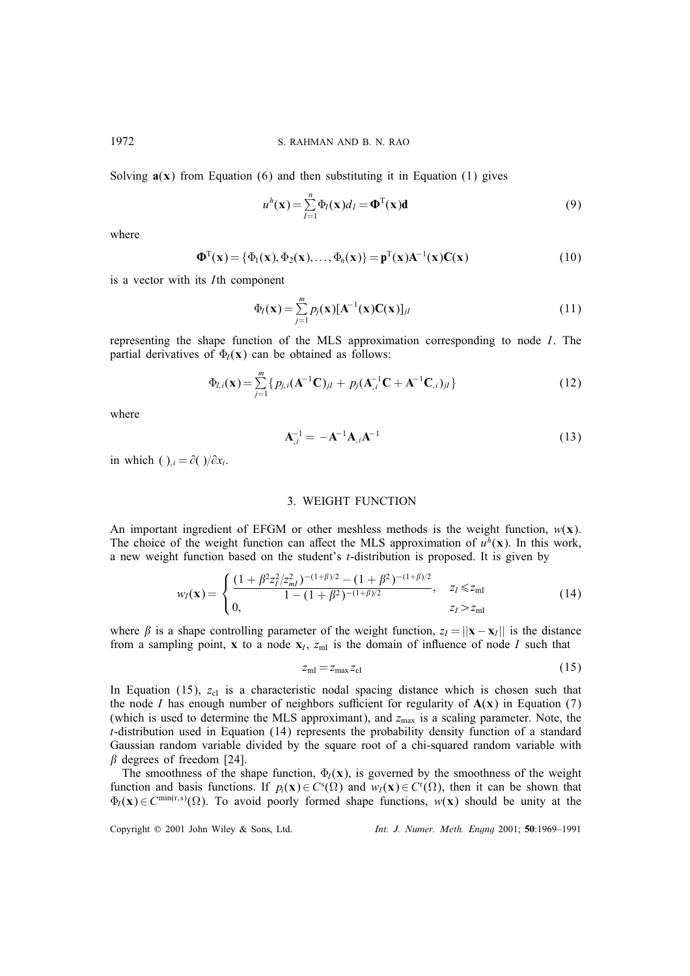Solving  $a(x)$  from Equation (6) and then substituting it in Equation (1) gives

$$
u^{h}(\mathbf{x}) = \sum_{I=1}^{n} \Phi_{I}(\mathbf{x}) d_{I} = \mathbf{\Phi}^{T}(\mathbf{x}) \mathbf{d}
$$
(9)

where

$$
\mathbf{\Phi}^{\mathrm{T}}(\mathbf{x}) = {\Phi_1(\mathbf{x}), \Phi_2(\mathbf{x}), \dots, \Phi_n(\mathbf{x})} = \mathbf{p}^{\mathrm{T}}(\mathbf{x})\mathbf{A}^{-1}(\mathbf{x})\mathbf{C}(\mathbf{x})
$$
\n(10)

is a vector with its Ith component

$$
\Phi_I(\mathbf{x}) = \sum_{j=1}^m p_j(\mathbf{x}) [\mathbf{A}^{-1}(\mathbf{x}) \mathbf{C}(\mathbf{x})]_{jl} \tag{11}
$$

representing the shape function of the MLS approximation corresponding to node I. The partial derivatives of  $\Phi_I(x)$  can be obtained as follows:

$$
\Phi_{I,i}(\mathbf{x}) = \sum_{j=1}^{m} \{ p_{j,i}(\mathbf{A}^{-1}\mathbf{C})_{jl} + p_j(\mathbf{A}_{,i}^{-1}\mathbf{C} + \mathbf{A}^{-1}\mathbf{C}_{,i})_{jl} \}
$$
(12)

where

$$
\mathbf{A}_{,i}^{-1} = -\mathbf{A}^{-1}\mathbf{A}_{,i}\mathbf{A}^{-1} \tag{13}
$$

in which ( ),  $i = \partial(y/\partial x_i)$ .

## 3. WEIGHT FUNCTION

An important ingredient of EFGM or other meshless methods is the weight function,  $w(x)$ . The choice of the weight function can affect the MLS approximation of  $u^h(x)$ . In this work, a new weight function based on the student's t-distribution is proposed. It is given by

$$
w_I(\mathbf{x}) = \begin{cases} \frac{(1 + \beta^2 z_I^2 / z_{ml}^2)^{-(1 + \beta)/2} - (1 + \beta^2)^{-(1 + \beta)/2}}{1 - (1 + \beta^2)^{-(1 + \beta)/2}}, & z_I \le z_{ml} \\ 0, & z_I > z_{ml} \end{cases}
$$
(14)

where  $\beta$  is a shape controlling parameter of the weight function,  $z_I = ||\mathbf{x} - \mathbf{x}_I||$  is the distance from a sampling point, x to a node  $x_I$ ,  $z_{mI}$  is the domain of influence of node I such that

$$
z_{\rm ml} = z_{\rm max} z_{\rm cl} \tag{15}
$$

In Equation (15),  $z_{cl}$  is a characteristic nodal spacing distance which is chosen such that the node I has enough number of neighbors sufficient for regularity of  $A(x)$  in Equation (7) (which is used to determine the MLS approximant), and  $z_{\text{max}}$  is a scaling parameter. Note, the t-distribution used in Equation (14) represents the probability density function of a standard Gaussian random variable divided by the square root of a chi-squared random variable with  $\beta$  degrees of freedom [24].

The smoothness of the shape function,  $\Phi_l(x)$ , is governed by the smoothness of the weight function and basis functions. If  $p_i(\mathbf{x}) \in C^s(\Omega)$  and  $w_i(\mathbf{x}) \in C^r(\Omega)$ , then it can be shown that  $\Phi_I(\mathbf{x}) \in C^{\min(r,s)}(\Omega)$ . To avoid poorly formed shape functions,  $w(\mathbf{x})$  should be unity at the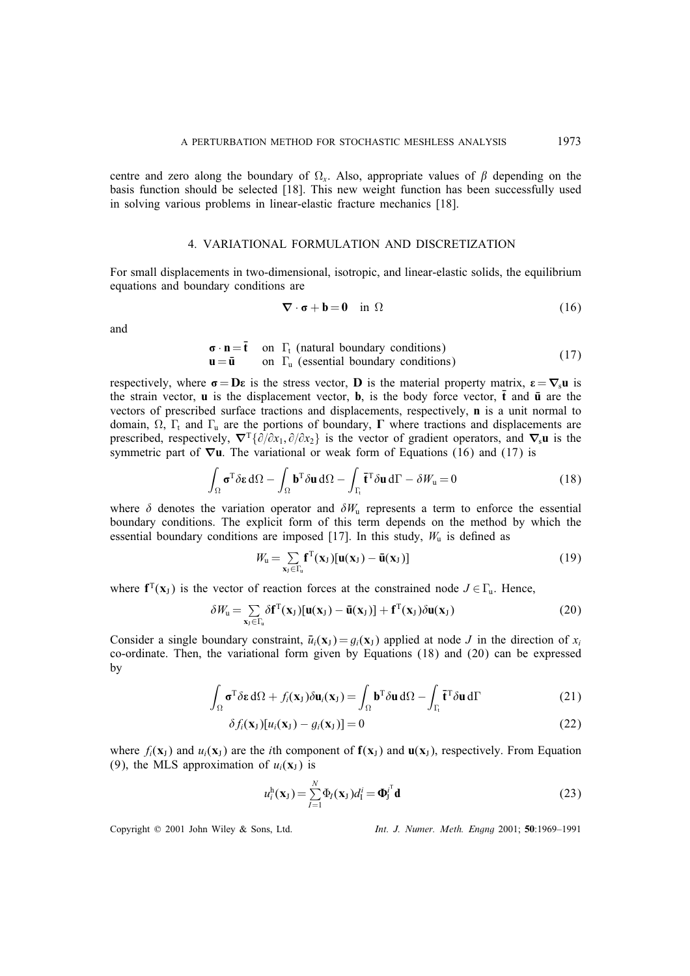centre and zero along the boundary of  $\Omega_x$ . Also, appropriate values of  $\beta$  depending on the basis function should be selected [18]. This new weight function has been successfully used in solving various problems in linear-elastic fracture mechanics [18].

#### 4. VARIATIONAL FORMULATION AND DISCRETIZATION

For small displacements in two-dimensional, isotropic, and linear-elastic solids, the equilibrium equations and boundary conditions are

$$
\nabla \cdot \mathbf{\sigma} + \mathbf{b} = \mathbf{0} \quad \text{in } \Omega \tag{16}
$$

and

$$
\begin{array}{ll}\n\mathbf{\sigma} \cdot \mathbf{n} = \mathbf{\bar{t}} & \text{on } \Gamma_{\text{t}} \text{ (natural boundary conditions)} \\
\mathbf{u} = \mathbf{\bar{u}} & \text{on } \Gamma_{\text{u}} \text{ (essential boundary conditions)}\n\end{array} \tag{17}
$$

respectively, where  $\sigma = D\varepsilon$  is the stress vector, D is the material property matrix,  $\varepsilon = \nabla_s u$  is the strain vector, **u** is the displacement vector, **b**, is the body force vector, **t** and **u** are the vectors of prescribed surface tractions and displacements, respectively, n is a unit normal to domain,  $\Omega$ ,  $\Gamma_t$  and  $\Gamma_u$  are the portions of boundary,  $\Gamma$  where tractions and displacements are prescribed, respectively,  $\nabla^{\mathrm{T}} {\partial/\partial x_1, \partial/\partial x_2}$  is the vector of gradient operators, and  $\nabla_s \mathbf{u}$  is the symmetric part of  $\nabla$ u. The variational or weak form of Equations (16) and (17) is

$$
\int_{\Omega} \sigma^{T} \delta \varepsilon d\Omega - \int_{\Omega} \mathbf{b}^{T} \delta \mathbf{u} d\Omega - \int_{\Gamma_{t}} \mathbf{\bar{t}}^{T} \delta \mathbf{u} d\Gamma - \delta W_{\mathbf{u}} = 0
$$
\n(18)

where  $\delta$  denotes the variation operator and  $\delta W_u$  represents a term to enforce the essential boundary conditions. The explicit form of this term depends on the method by which the essential boundary conditions are imposed [17]. In this study,  $W_u$  is defined as

$$
W_{\mathbf{u}} = \sum_{\mathbf{x}_J \in \Gamma_{\mathbf{u}}} \mathbf{f}^{\mathrm{T}}(\mathbf{x}_J) [\mathbf{u}(\mathbf{x}_J) - \bar{\mathbf{u}}(\mathbf{x}_J)] \tag{19}
$$

where  $f^{T}(x_{j})$  is the vector of reaction forces at the constrained node  $J \in \Gamma_{u}$ . Hence,

$$
\delta W_{\mathbf{u}} = \sum_{\mathbf{x}_{\mathbf{J}} \in \Gamma_{\mathbf{u}}} \delta \mathbf{f}^{\mathsf{T}}(\mathbf{x}_{\mathbf{J}}) [\mathbf{u}(\mathbf{x}_{\mathbf{J}}) - \bar{\mathbf{u}}(\mathbf{x}_{\mathbf{J}})] + \mathbf{f}^{\mathsf{T}}(\mathbf{x}_{\mathbf{J}}) \delta \mathbf{u}(\mathbf{x}_{\mathbf{J}})
$$
(20)

Consider a single boundary constraint,  $\bar{u}_i(\mathbf{x}_J) = g_i(\mathbf{x}_J)$  applied at node J in the direction of  $x_i$ co-ordinate. Then, the variational form given by Equations (18) and (20) can be expressed by

$$
\int_{\Omega} \sigma^{T} \delta \varepsilon d\Omega + f_{i}(\mathbf{x}_{J}) \delta \mathbf{u}_{i}(\mathbf{x}_{J}) = \int_{\Omega} \mathbf{b}^{T} \delta \mathbf{u} d\Omega - \int_{\Gamma_{t}} \mathbf{\tilde{t}}^{T} \delta \mathbf{u} d\Gamma
$$
\n(21)

$$
\delta f_i(\mathbf{x}_J)[u_i(\mathbf{x}_J) - g_i(\mathbf{x}_J)] = 0 \tag{22}
$$

where  $f_i(\mathbf{x}_J)$  and  $u_i(\mathbf{x}_J)$  are the *i*th component of  $f(\mathbf{x}_J)$  and  $u(\mathbf{x}_J)$ , respectively. From Equation (9), the MLS approximation of  $u_i(\mathbf{x}_J)$  is

$$
u_i^{\mathrm{h}}(\mathbf{x}_\mathrm{J}) = \sum_{I=1}^N \Phi_I(\mathbf{x}_\mathrm{J}) d_I^i = {\boldsymbol{\Phi}_\mathrm{J}}^i{}^{\mathrm{T}} \mathbf{d}
$$
\n(23)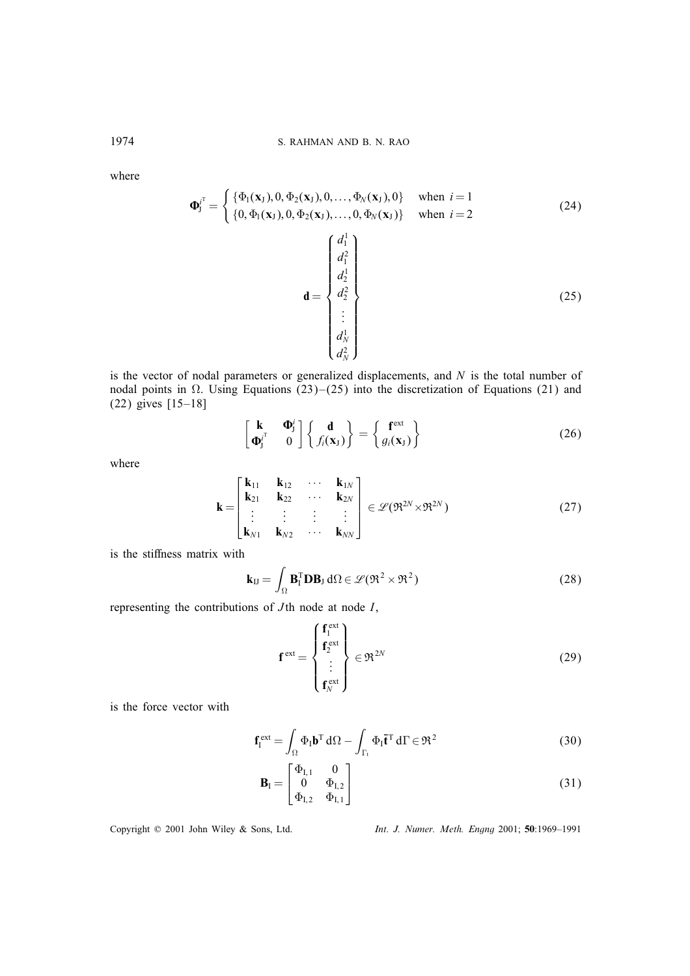where

$$
\Phi_{j}^{i^{T}} = \begin{cases} \{\Phi_{1}(\mathbf{x}_{J}), 0, \Phi_{2}(\mathbf{x}_{J}), 0, ..., \Phi_{N}(\mathbf{x}_{J}), 0\} & \text{when } i = 1\\ \{0, \Phi_{1}(\mathbf{x}_{J}), 0, \Phi_{2}(\mathbf{x}_{J}), ..., 0, \Phi_{N}(\mathbf{x}_{J})\} & \text{when } i = 2 \end{cases}
$$
(24)  

$$
\mathbf{d} = \begin{cases} d_{1}^{1} \\ d_{1}^{2} \\ d_{2}^{1} \\ \vdots \\ d_{N}^{1} \\ d_{N}^{2} \\ d_{N}^{2} \end{cases}
$$
(25)

is the vector of nodal parameters or generalized displacements, and  $N$  is the total number of nodal points in  $\Omega$ . Using Equations (23)–(25) into the discretization of Equations (21) and (22) gives [15–18]

$$
\begin{bmatrix} \mathbf{k} & \mathbf{\Phi}_j^i \\ \mathbf{\Phi}_j^{i^T} & 0 \end{bmatrix} \begin{Bmatrix} \mathbf{d} \\ f_i(\mathbf{x}_J) \end{Bmatrix} = \begin{Bmatrix} \mathbf{f}^{\text{ext}} \\ g_i(\mathbf{x}_J) \end{Bmatrix}
$$
(26)

where

$$
\mathbf{k} = \begin{bmatrix} \mathbf{k}_{11} & \mathbf{k}_{12} & \cdots & \mathbf{k}_{1N} \\ \mathbf{k}_{21} & \mathbf{k}_{22} & \cdots & \mathbf{k}_{2N} \\ \vdots & \vdots & \vdots & \vdots \\ \mathbf{k}_{N1} & \mathbf{k}_{N2} & \cdots & \mathbf{k}_{NN} \end{bmatrix} \in \mathscr{L}(\mathfrak{R}^{2N} \times \mathfrak{R}^{2N})
$$
(27)

is the stiffness matrix with

$$
\mathbf{k}_{IJ} = \int_{\Omega} \mathbf{B}_I^{\mathrm{T}} \mathbf{D} \mathbf{B}_J \, d\Omega \in \mathcal{L}(\mathfrak{R}^2 \times \mathfrak{R}^2)
$$
 (28)

representing the contributions of  $J$ th node at node  $I$ ,

$$
\mathbf{f}^{\text{ext}} = \begin{Bmatrix} \mathbf{f}_1^{\text{ext}} \\ \mathbf{f}_2^{\text{ext}} \\ \vdots \\ \mathbf{f}_N^{\text{ext}} \end{Bmatrix} \in \mathfrak{R}^{2N} \tag{29}
$$

is the force vector with

$$
\mathbf{f}_{\mathrm{I}}^{\mathrm{ext}} = \int_{\Omega} \Phi_{\mathrm{I}} \mathbf{b}^{\mathrm{T}} \,\mathrm{d}\Omega - \int_{\Gamma_{\mathrm{t}}} \Phi_{\mathrm{I}} \mathbf{\bar{t}}^{\mathrm{T}} \,\mathrm{d}\Gamma \in \mathfrak{R}^2 \tag{30}
$$

$$
\mathbf{B}_{\rm I} = \begin{bmatrix} \Phi_{\rm I,1} & 0 \\ 0 & \Phi_{\rm I,2} \\ \Phi_{\rm I,2} & \Phi_{\rm I,1} \end{bmatrix} \tag{31}
$$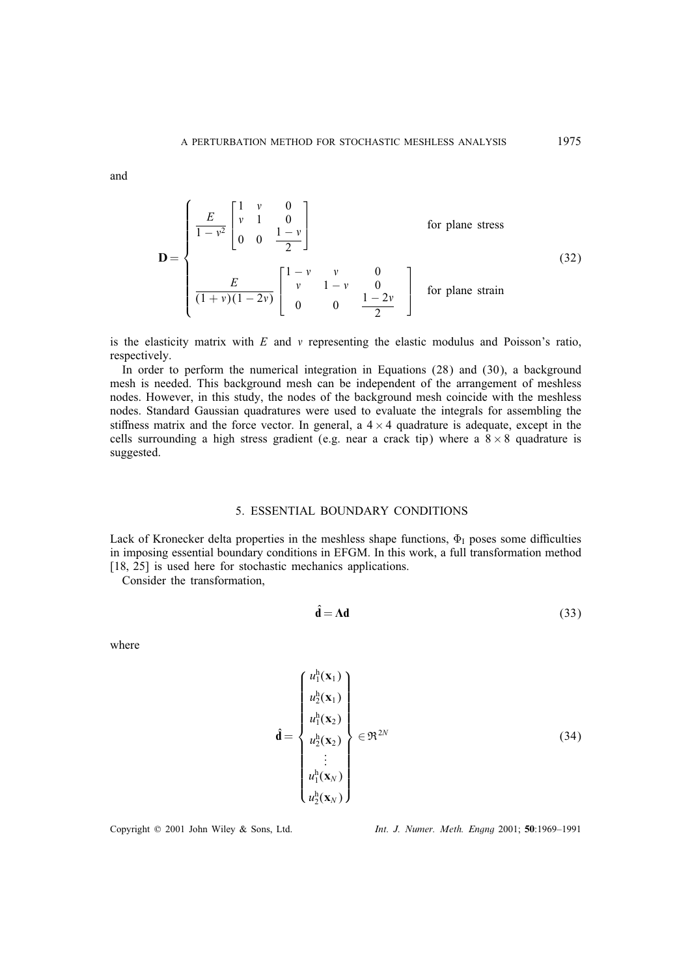and

$$
\mathbf{D} = \begin{cases} \frac{E}{1 - v^2} \begin{bmatrix} 1 & v & 0 \\ v & 1 & 0 \\ 0 & 0 & \frac{1 - v}{2} \end{bmatrix} & \text{for plane stress} \\ \frac{E}{(1 + v)(1 - 2v)} \begin{bmatrix} 1 - v & v & 0 \\ v & 1 - v & 0 \\ 0 & 0 & \frac{1 - 2v}{2} \end{bmatrix} & \text{for plane strain} \end{cases}
$$
(32)

is the elasticity matrix with  $E$  and  $\nu$  representing the elastic modulus and Poisson's ratio, respectively.

In order to perform the numerical integration in Equations (28) and (30), a background mesh is needed. This background mesh can be independent of the arrangement of meshless nodes. However, in this study, the nodes of the background mesh coincide with the meshless nodes. Standard Gaussian quadratures were used to evaluate the integrals for assembling the stiffness matrix and the force vector. In general, a  $4 \times 4$  quadrature is adequate, except in the cells surrounding a high stress gradient (e.g. near a crack tip) where a  $8 \times 8$  quadrature is suggested.

## 5. ESSENTIAL BOUNDARY CONDITIONS

Lack of Kronecker delta properties in the meshless shape functions,  $\Phi_I$  poses some difficulties in imposing essential boundary conditions in EFGM. In this work, a full transformation method [18, 25] is used here for stochastic mechanics applications.

Consider the transformation,

$$
\hat{\mathbf{d}} = \Lambda \mathbf{d} \tag{33}
$$

where

$$
\hat{\mathbf{d}} = \begin{Bmatrix} u_1^h(\mathbf{x}_1) \\ u_2^h(\mathbf{x}_1) \\ u_1^h(\mathbf{x}_2) \\ u_2^h(\mathbf{x}_2) \\ \vdots \\ u_1^h(\mathbf{x}_N) \\ u_2^h(\mathbf{x}_N) \end{Bmatrix} \in \mathfrak{R}^{2N} \tag{34}
$$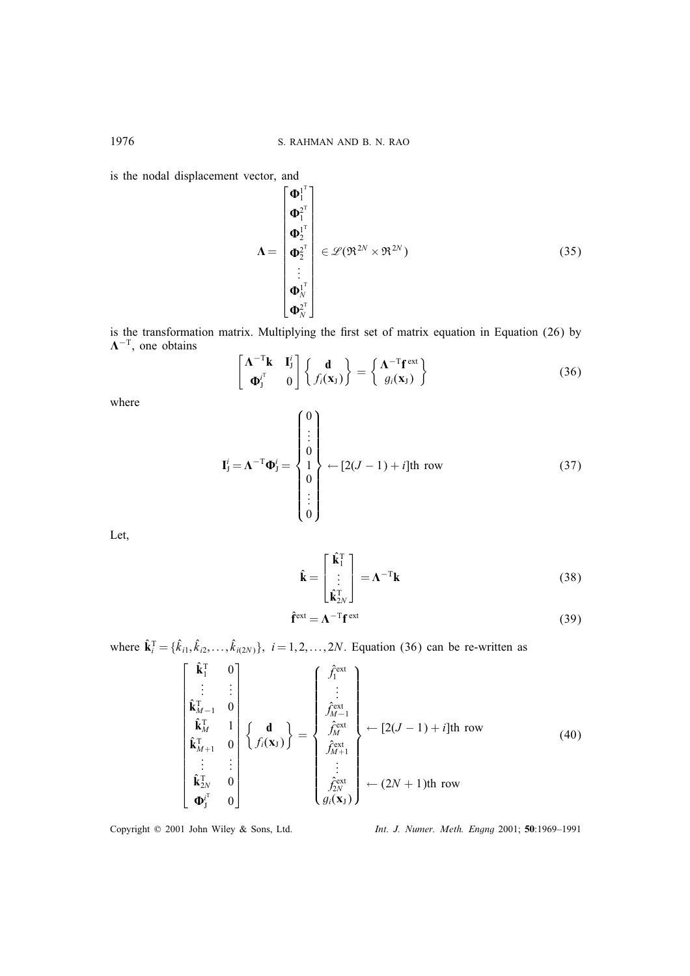is the nodal displacement vector, and

$$
\Lambda = \begin{bmatrix} \boldsymbol{\Phi}_{1}^{1} \\ \boldsymbol{\Phi}_{1}^{2} \\ \boldsymbol{\Phi}_{2}^{1} \\ \boldsymbol{\Phi}_{2}^{3} \\ \vdots \\ \boldsymbol{\Phi}_{N}^{1} \\ \boldsymbol{\Phi}_{N}^{3} \end{bmatrix} \in \mathscr{L}(\mathfrak{R}^{2N} \times \mathfrak{R}^{2N})
$$
(35)

is the transformation matrix. Multiplying the first set of matrix equation in Equation (26) by  $\Lambda^{-T}$ , one obtains

$$
\begin{bmatrix} \mathbf{\Lambda}^{-T} \mathbf{k} & \mathbf{I}_{j}^{i} \\ \mathbf{\Phi}_{j}^{i^{T}} & 0 \end{bmatrix} \begin{Bmatrix} \mathbf{d} \\ f_{i}(\mathbf{x}_{J}) \end{Bmatrix} = \begin{Bmatrix} \mathbf{\Lambda}^{-T} \mathbf{f}^{\text{ext}} \\ g_{i}(\mathbf{x}_{J}) \end{Bmatrix}
$$
(36)

where

$$
\mathbf{I}_{j}^{i} = \mathbf{\Lambda}^{-T} \mathbf{\Phi}_{j}^{i} = \begin{Bmatrix} 0 \\ \vdots \\ 0 \\ 1 \\ 0 \\ \vdots \\ 0 \end{Bmatrix} \leftarrow [2(J-1) + i]\text{th row} \tag{37}
$$

Let,

$$
\hat{\mathbf{k}} = \begin{bmatrix} \hat{\mathbf{k}}_1^{\mathrm{T}} \\ \vdots \\ \hat{\mathbf{k}}_{2N}^{\mathrm{T}} \end{bmatrix} = \boldsymbol{\Lambda}^{-\mathrm{T}} \mathbf{k}
$$
 (38)

$$
\hat{\mathbf{f}}^{\text{ext}} = \mathbf{\Lambda}^{-T} \mathbf{f}^{\text{ext}} \tag{39}
$$

where  $\hat{\mathbf{k}}_i^{\text{T}} = {\hat{k}_{i1}, \hat{k}_{i2}, \dots, \hat{k}_{i(2N)}}$ ,  $i = 1, 2, \dots, 2N$ . Equation (36) can be re-written as

$$
\begin{bmatrix}\n\hat{\mathbf{k}}_1^T & 0 \\
\vdots & \vdots \\
\hat{\mathbf{k}}_{M-1}^T & 0 \\
\hat{\mathbf{k}}_M^T & 1 \\
\vdots & \vdots \\
\hat{\mathbf{k}}_{M+1}^T & 0 \\
\vdots & \vdots \\
\hat{\mathbf{k}}_N^T & 0 \\
\end{bmatrix}\n\begin{Bmatrix}\n\mathbf{d} \\
\mathbf{d} \\
\vdots \\
\mathbf{f}_{M+1}^{\text{ext}} \\
\vdots \\
\mathbf{f}_{M+1}^{\text{ext}} \\
\vdots \\
\mathbf{f}_{M+1}^{\text{ext}} \\
\vdots \\
\mathbf{f}_{M+1}^{\text{ext}} \\
\vdots \\
\mathbf{f}_{2N}^{\text{ext}} \\
\vdots \\
\mathbf{f}_{2N}^{\text{ext}}\n\end{bmatrix}\n\leftarrow [2(J-1) + i]\text{th row} \qquad (40)
$$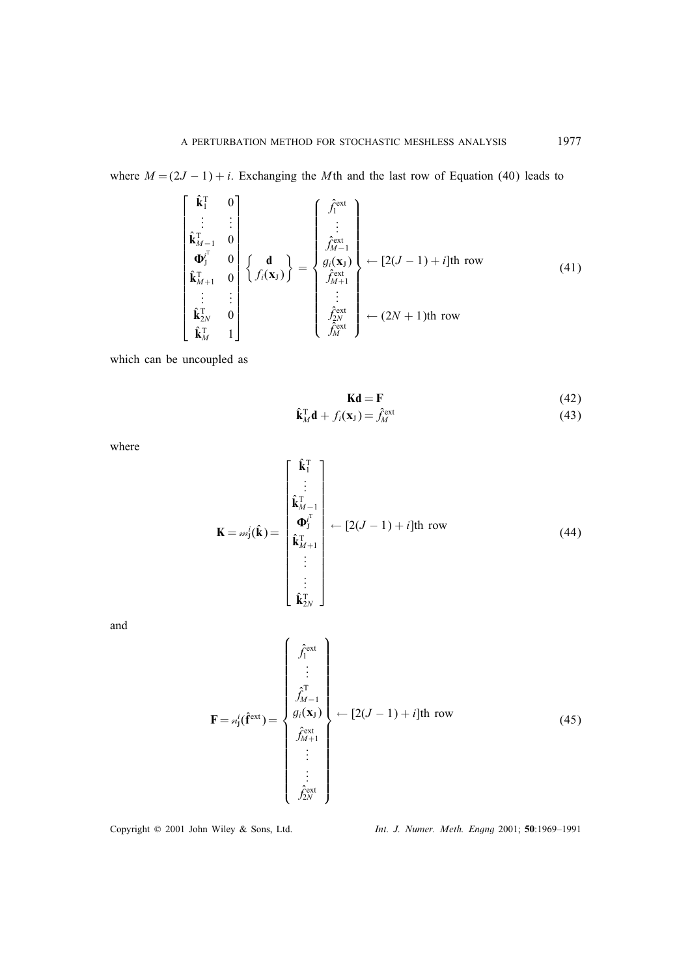where  $M = (2J - 1) + i$ . Exchanging the Mth and the last row of Equation (40) leads to

$$
\begin{bmatrix}\n\hat{\mathbf{k}}_{1}^{T} & 0 \\
\vdots & \vdots \\
\hat{\mathbf{k}}_{M-1}^{T} & 0 \\
\Phi_{j}^{T} & 0 \\
\hat{\mathbf{k}}_{M+1}^{T} & 0 \\
\vdots & \vdots \\
\hat{\mathbf{k}}_{M}^{T} & 0 \\
\hat{\mathbf{k}}_{M}^{T} & 1\n\end{bmatrix}\n\begin{Bmatrix}\n\mathbf{d} \\
\vdots \\
\mathbf{d} \\
\mathbf{d}_{j(\mathbf{x}_{J})}^{f(\mathbf{x}_{J})}\n\end{Bmatrix} = \n\begin{Bmatrix}\n\hat{f}_{1}^{\text{ext}} \\
\vdots \\
\hat{f}_{M}^{\text{ext}} \\
\mathbf{d}_{j(\mathbf{x}_{J})}^{f(\mathbf{x}_{J})} \\
\vdots \\
\mathbf{d}_{j_{M+1}}^{f(\mathbf{x}_{J})}\n\end{Bmatrix} \leftarrow [2(J-1) + i]\text{th row} \tag{41}
$$

which can be uncoupled as

$$
Kd = F \tag{42}
$$

$$
\hat{\mathbf{k}}_M^{\mathrm{T}} \mathbf{d} + f_i(\mathbf{x}_J) = \hat{f}_M^{\mathrm{ext}} \tag{43}
$$

where

$$
\mathbf{K} = m_1^i(\hat{\mathbf{k}}) = \begin{bmatrix} \hat{\mathbf{k}}_1^T \\ \vdots \\ \hat{\mathbf{k}}_{M-1}^T \\ \hat{\mathbf{k}}_{M+1}^T \\ \vdots \\ \hat{\mathbf{k}}_{2N}^T \end{bmatrix} \leftarrow [2(J-1) + i]\text{th row} \tag{44}
$$

and

$$
\mathbf{F} = \varkappa_{j}^{i}(\hat{\mathbf{f}}^{\text{ext}}) = \begin{cases} \hat{f}_{1}^{\text{ext}} \\ \hat{f}_{M-1}^{\text{T}} \\ g_{i}(\mathbf{x}_{J}) \\ \hat{f}_{M+1}^{\text{ext}} \\ \vdots \\ \hat{f}_{2N}^{\text{ext}} \end{cases} \leftarrow [2(J-1) + i]\text{th row} \tag{45}
$$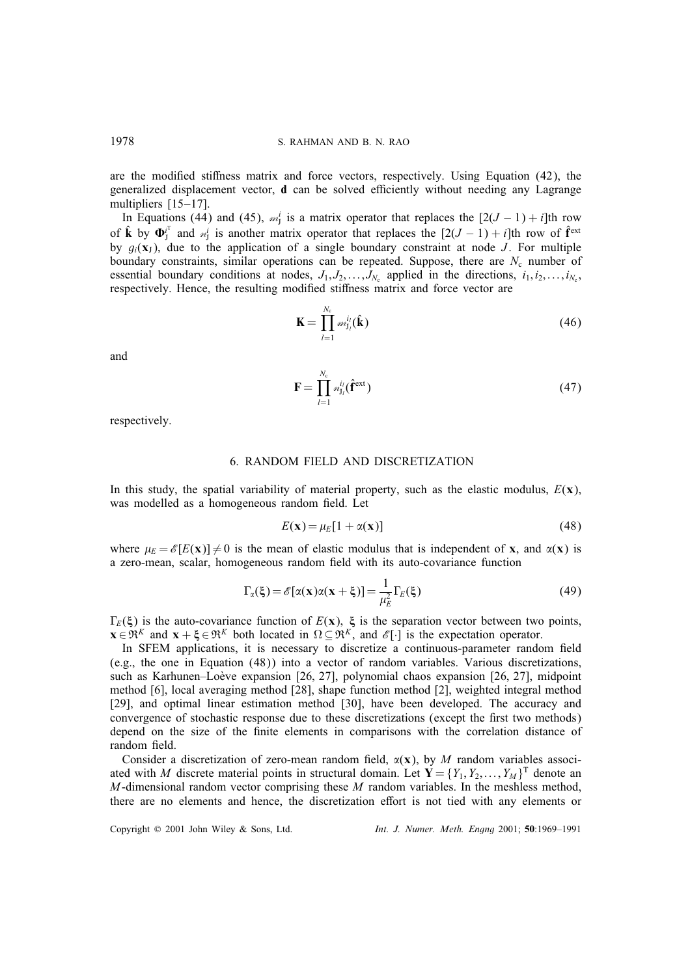are the modified stiffness matrix and force vectors, respectively. Using Equation (42), the generalized displacement vector,  $\bf{d}$  can be solved efficiently without needing any Lagrange multipliers [15–17].

In Equations (44) and (45),  $m_j^i$  is a matrix operator that replaces the  $[2(J-1) + i]$ th row of  $\hat{\mathbf{k}}$  by  $\mathbf{\Phi}_{J}^{i^{\mathrm{T}}}$  and  $\mathcal{M}_{J}^{i}$  is another matrix operator that replaces the  $[2(J-1) + i]$ th row of  $\hat{\mathbf{f}}^{\text{ext}}$ by  $g_i(\mathbf{x}_I)$ , due to the application of a single boundary constraint at node J. For multiple boundary constraints, similar operations can be repeated. Suppose, there are  $N_c$  number of essential boundary conditions at nodes,  $J_1, J_2, \ldots, J_{N_c}$  applied in the directions,  $i_1, i_2, \ldots, i_{N_c}$ , respectively. Hence, the resulting modified stiffness matrix and force vector are

$$
\mathbf{K} = \prod_{l=1}^{N_c} m_{\mathbf{j}_l}^{i_l}(\hat{\mathbf{k}})
$$
\n(46)

and

$$
\mathbf{F} = \prod_{l=1}^{N_{\rm c}} n_{\rm J_l}^{i_l}(\mathbf{\hat{f}}^{\rm ext})
$$
\n(47)

respectively.

# 6. RANDOM FIELD AND DISCRETIZATION

In this study, the spatial variability of material property, such as the elastic modulus,  $E(x)$ , was modelled as a homogeneous random field. Let

$$
E(\mathbf{x}) = \mu_E[1 + \alpha(\mathbf{x})] \tag{48}
$$

where  $\mu_E = \mathscr{E}[E(\mathbf{x})] \neq 0$  is the mean of elastic modulus that is independent of **x**, and  $\alpha(\mathbf{x})$  is a zero-mean, scalar, homogeneous random field with its auto-covariance function

$$
\Gamma_{\alpha}(\xi) = \mathcal{E}[\alpha(\mathbf{x})\alpha(\mathbf{x} + \xi)] = \frac{1}{\mu_E^2} \Gamma_E(\xi)
$$
\n(49)

 $\Gamma_E(\xi)$  is the auto-covariance function of  $E(x)$ ,  $\xi$  is the separation vector between two points,  $\mathbf{x} \in \mathbb{R}^K$  and  $\mathbf{x} + \xi \in \mathbb{R}^K$  both located in  $\Omega \subseteq \mathbb{R}^K$ , and  $\mathscr{E}[\cdot]$  is the expectation operator.

In SFEM applications, it is necessary to discretize a continuous-parameter random field (e.g., the one in Equation (48)) into a vector of random variables. Various discretizations, such as Karhunen–Loève expansion [26, 27], polynomial chaos expansion [26, 27], midpoint method [6], local averaging method [28], shape function method [2], weighted integral method [29], and optimal linear estimation method [30], have been developed. The accuracy and convergence of stochastic response due to these discretizations (except the first two methods) depend on the size of the finite elements in comparisons with the correlation distance of random field.

Consider a discretization of zero-mean random field,  $\alpha(\mathbf{x})$ , by M random variables associated with M discrete material points in structural domain. Let  $\mathbf{Y} = \{Y_1, Y_2, \dots, Y_M\}^T$  denote an  $M$ -dimensional random vector comprising these  $M$  random variables. In the meshless method, there are no elements and hence, the discretization effort is not tied with any elements or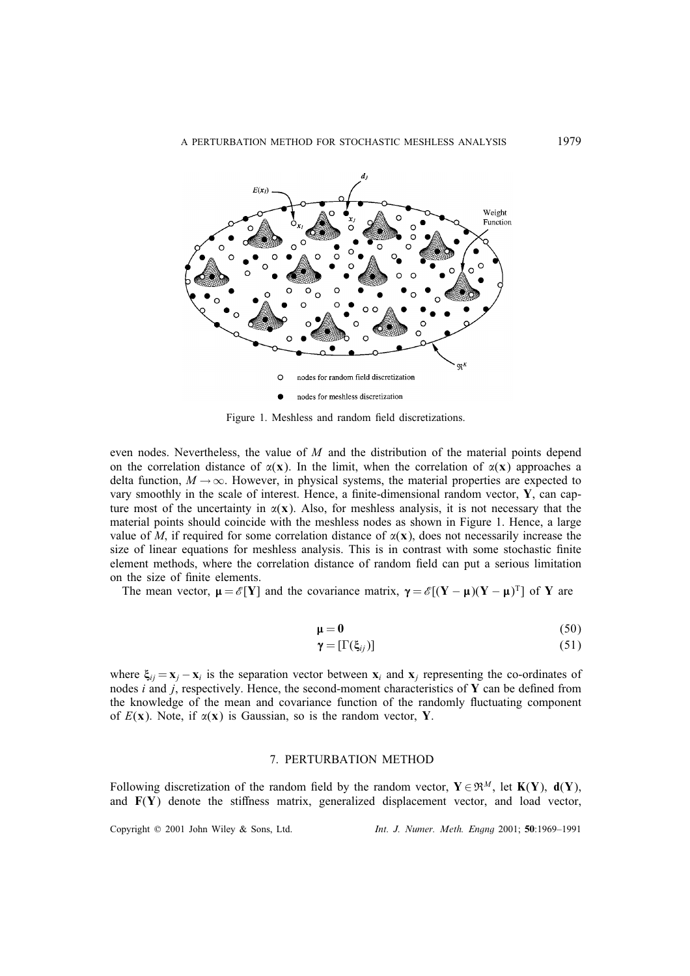

Figure 1. Meshless and random field discretizations.

even nodes. Nevertheless, the value of  $M$  and the distribution of the material points depend on the correlation distance of  $\alpha(\mathbf{x})$ . In the limit, when the correlation of  $\alpha(\mathbf{x})$  approaches a delta function,  $M \to \infty$ . However, in physical systems, the material properties are expected to vary smoothly in the scale of interest. Hence, a finite-dimensional random vector,  $Y$ , can capture most of the uncertainty in  $\alpha(\mathbf{x})$ . Also, for meshless analysis, it is not necessary that the material points should coincide with the meshless nodes as shown in Figure 1. Hence, a large value of M, if required for some correlation distance of  $\alpha(\mathbf{x})$ , does not necessarily increase the size of linear equations for meshless analysis. This is in contrast with some stochastic finite element methods, where the correlation distance of random field can put a serious limitation on the size of finite elements.

The mean vector,  $\mu = \mathscr{E}[Y]$  and the covariance matrix,  $\gamma = \mathscr{E}[(Y - \mu)(Y - \mu)^T]$  of Y are

$$
\mu = 0 \tag{50}
$$

$$
\gamma = [\Gamma(\xi_{ij})] \tag{51}
$$

where  $\xi_{ij} = \mathbf{x}_j - \mathbf{x}_i$  is the separation vector between  $\mathbf{x}_i$  and  $\mathbf{x}_j$  representing the co-ordinates of nodes  $i$  and  $j$ , respectively. Hence, the second-moment characteristics of  $Y$  can be defined from the knowledge of the mean and covariance function of the randomly 
uctuating component of  $E(x)$ . Note, if  $\alpha(x)$  is Gaussian, so is the random vector, Y.

#### 7. PERTURBATION METHOD

Following discretization of the random field by the random vector,  $Y \in \mathbb{R}^M$ , let  $K(Y)$ ,  $d(Y)$ , and  $F(Y)$  denote the stiffness matrix, generalized displacement vector, and load vector,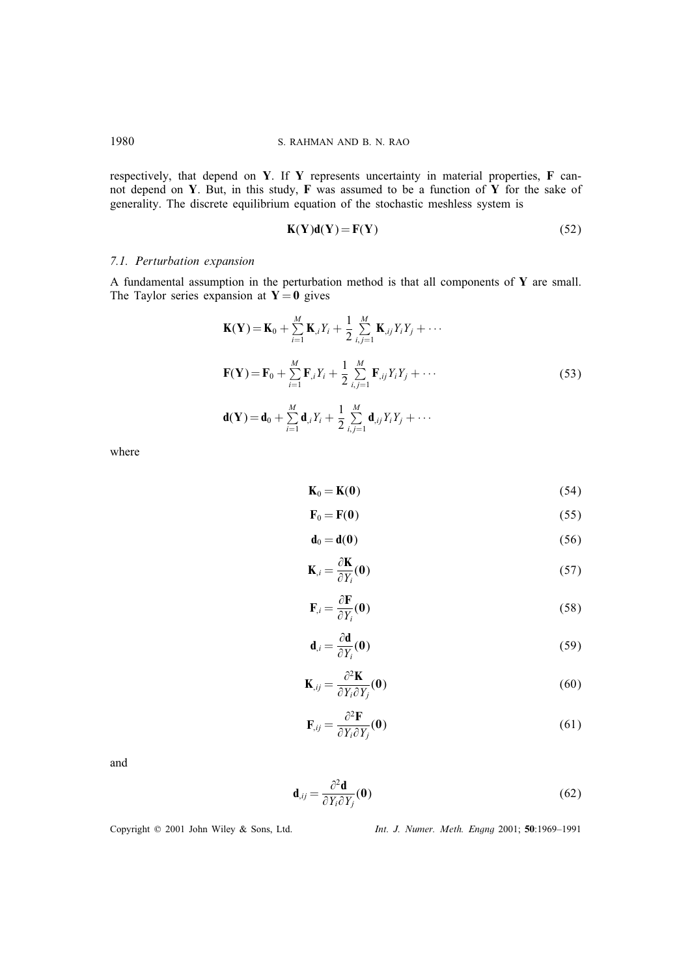respectively, that depend on Y. If Y represents uncertainty in material properties,  $\bf{F}$  cannot depend on Y. But, in this study,  $F$  was assumed to be a function of Y for the sake of generality. The discrete equilibrium equation of the stochastic meshless system is

$$
\mathbf{K}(\mathbf{Y})\mathbf{d}(\mathbf{Y}) = \mathbf{F}(\mathbf{Y})\tag{52}
$$

# *7.1. Perturbation expansion*

A fundamental assumption in the perturbation method is that all components of Y are small. The Taylor series expansion at  $Y = 0$  gives

$$
\mathbf{K}(\mathbf{Y}) = \mathbf{K}_0 + \sum_{i=1}^{M} \mathbf{K}_{,i} Y_i + \frac{1}{2} \sum_{i,j=1}^{M} \mathbf{K}_{,ij} Y_i Y_j + \cdots
$$

$$
\mathbf{F}(\mathbf{Y}) = \mathbf{F}_0 + \sum_{i=1}^{M} \mathbf{F}_{,i} Y_i + \frac{1}{2} \sum_{i,j=1}^{M} \mathbf{F}_{,ij} Y_i Y_j + \cdots
$$
(53)

$$
\mathbf{d}(\mathbf{Y}) = \mathbf{d}_0 + \sum_{i=1}^M \mathbf{d}_{,i} Y_i + \frac{1}{2} \sum_{i,j=1}^M \mathbf{d}_{,ij} Y_i Y_j + \cdots
$$

where

$$
\mathbf{K}_0 = \mathbf{K}(\mathbf{0}) \tag{54}
$$

$$
\mathbf{F}_0 = \mathbf{F}(\mathbf{0}) \tag{55}
$$

$$
\mathbf{d}_0 = \mathbf{d}(\mathbf{0})\tag{56}
$$

$$
\mathbf{K}_{,i} = \frac{\partial \mathbf{K}}{\partial Y_i}(\mathbf{0})
$$
\n(57)

$$
\mathbf{F}_{i} = \frac{\partial \mathbf{F}}{\partial Y_{i}}(\mathbf{0})
$$
\n(58)

$$
\mathbf{d}_{,i} = \frac{\partial \mathbf{d}}{\partial Y_i}(\mathbf{0})
$$
\n(59)

$$
\mathbf{K}_{,ij} = \frac{\partial^2 \mathbf{K}}{\partial Y_i \partial Y_j}(\mathbf{0})
$$
\n(60)

$$
\mathbf{F}_{ij} = \frac{\partial^2 \mathbf{F}}{\partial Y_i \partial Y_j}(\mathbf{0})
$$
(61)

and

$$
\mathbf{d}_{,ij} = \frac{\partial^2 \mathbf{d}}{\partial Y_i \partial Y_j}(\mathbf{0})
$$
 (62)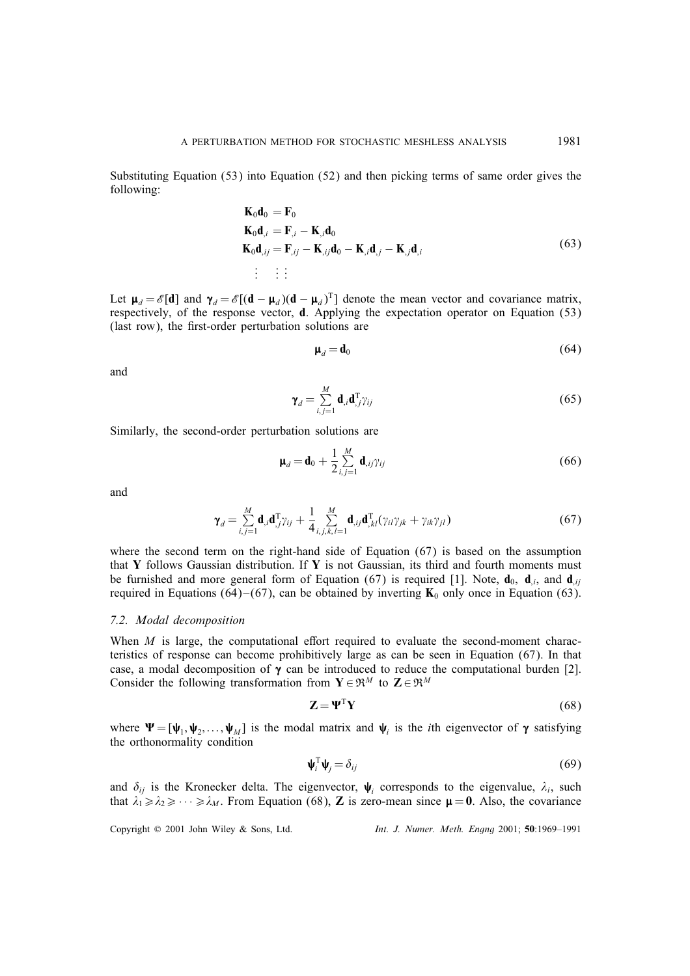Substituting Equation (53) into Equation (52) and then picking terms of same order gives the following:

$$
\begin{aligned}\n\mathbf{K}_0 \mathbf{d}_0 &= \mathbf{F}_0 \\
\mathbf{K}_0 \mathbf{d}_{,i} &= \mathbf{F}_{,i} - \mathbf{K}_{,i} \mathbf{d}_0 \\
\mathbf{K}_0 \mathbf{d}_{,ij} &= \mathbf{F}_{,ij} - \mathbf{K}_{,ij} \mathbf{d}_0 - \mathbf{K}_{,i} \mathbf{d}_{,j} - \mathbf{K}_{,j} \mathbf{d}_{,i} \\
\vdots &\vdots\n\end{aligned} \tag{63}
$$

Let  $\mu_d = \mathscr{E}[\mathbf{d}]$  and  $\gamma_d = \mathscr{E}[(\mathbf{d} - \mu_d)(\mathbf{d} - \mu_d)^T]$  denote the mean vector and covariance matrix, respectively, of the response vector, d. Applying the expectation operator on Equation (53) (last row), the first-order perturbation solutions are

$$
\mathbf{\mu}_d = \mathbf{d}_0 \tag{64}
$$

and

$$
\gamma_d = \sum_{i,j=1}^M \mathbf{d}_{,i} \mathbf{d}_{,j}^{\mathrm{T}} \gamma_{ij}
$$
(65)

Similarly, the second-order perturbation solutions are

$$
\mathbf{\mu}_d = \mathbf{d}_0 + \frac{1}{2} \sum_{i,j=1}^M \mathbf{d}_{ij} \gamma_{ij}
$$
\n(66)

and

$$
\gamma_d = \sum_{i,j=1}^M \mathbf{d}_{,i} \mathbf{d}_{,j}^{\mathrm{T}} \gamma_{ij} + \frac{1}{4} \sum_{i,j,k,l=1}^M \mathbf{d}_{,ij} \mathbf{d}_{,kl}^{\mathrm{T}} (\gamma_{il} \gamma_{jk} + \gamma_{ik} \gamma_{jl})
$$
(67)

where the second term on the right-hand side of Equation (67) is based on the assumption that Y follows Gaussian distribution. If Y is not Gaussian, its third and fourth moments must be furnished and more general form of Equation (67) is required [1]. Note,  $\mathbf{d}_0$ ,  $\mathbf{d}_i$  and  $\mathbf{d}_{iij}$ required in Equations (64)–(67), can be obtained by inverting  $K_0$  only once in Equation (63).

# *7.2. Modal decomposition*

When  $M$  is large, the computational effort required to evaluate the second-moment characteristics of response can become prohibitively large as can be seen in Equation (67). In that case, a modal decomposition of  $\gamma$  can be introduced to reduce the computational burden [2]. Consider the following transformation from  $\mathbf{Y} \in \mathbb{R}^M$  to  $\mathbf{Z} \in \mathbb{R}^M$ 

$$
\mathbf{Z} = \mathbf{\Psi}^{\mathrm{T}} \mathbf{Y} \tag{68}
$$

where  $\Psi = [\psi_1, \psi_2, \dots, \psi_M]$  is the modal matrix and  $\psi_i$  is the *i*th eigenvector of  $\gamma$  satisfying the orthonormality condition

$$
\mathbf{\psi}_i^{\mathrm{T}} \mathbf{\psi}_j = \delta_{ij} \tag{69}
$$

and  $\delta_{ij}$  is the Kronecker delta. The eigenvector,  $\psi_i$  corresponds to the eigenvalue,  $\lambda_i$ , such that  $\lambda_1 \ge \lambda_2 \ge \cdots \ge \lambda_M$ . From Equation (68), **Z** is zero-mean since  $\mu = 0$ . Also, the covariance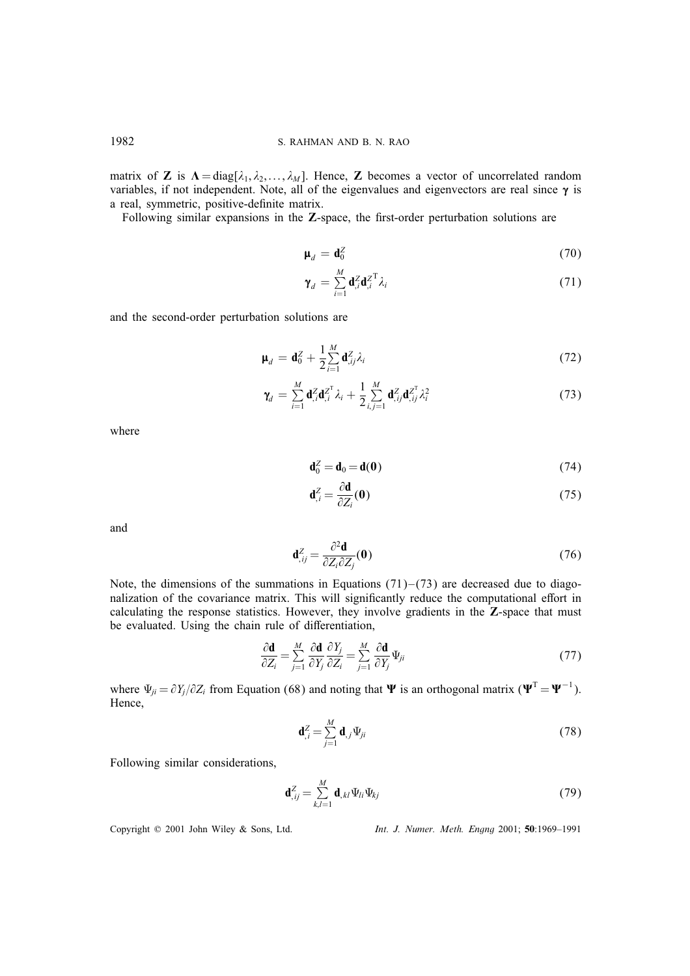matrix of **Z** is  $\Lambda = \text{diag}[\lambda_1, \lambda_2, \dots, \lambda_M]$ . Hence, **Z** becomes a vector of uncorrelated random variables, if not independent. Note, all of the eigenvalues and eigenvectors are real since  $\gamma$  is a real, symmetric, positive-definite matrix.

Following similar expansions in the  $Z$ -space, the first-order perturbation solutions are

$$
\mathbf{\mu}_d = \mathbf{d}_0^Z \tag{70}
$$

$$
\gamma_d = \sum_{i=1}^M \mathbf{d}_{i}^Z \mathbf{d}_{i}^{Z^T} \lambda_i
$$
\n(71)

and the second-order perturbation solutions are

$$
\mathbf{\mu}_d = \mathbf{d}_0^Z + \frac{1}{2} \sum_{i=1}^M \mathbf{d}_{ij}^Z \lambda_i
$$
 (72)

$$
\gamma_d = \sum_{i=1}^M \mathbf{d}_{,i}^Z \mathbf{d}_{,i}^{Z^T} \lambda_i + \frac{1}{2} \sum_{i,j=1}^M \mathbf{d}_{,ij}^Z \mathbf{d}_{,ij}^{Z^T} \lambda_i^2
$$
(73)

where

$$
\mathbf{d}_0^Z = \mathbf{d}_0 = \mathbf{d}(\mathbf{0})\tag{74}
$$

$$
\mathbf{d}_{,i}^{Z} = \frac{\partial \mathbf{d}}{\partial Z_i}(\mathbf{0})\tag{75}
$$

and

$$
\mathbf{d}_{,ij}^Z = \frac{\partial^2 \mathbf{d}}{\partial Z_i \partial Z_j}(\mathbf{0})\tag{76}
$$

Note, the dimensions of the summations in Equations  $(71)$ – $(73)$  are decreased due to diagonalization of the covariance matrix. This will significantly reduce the computational effort in calculating the response statistics. However, they involve gradients in the Z-space that must be evaluated. Using the chain rule of differentiation,

$$
\frac{\partial \mathbf{d}}{\partial Z_i} = \sum_{j=1}^{M} \frac{\partial \mathbf{d}}{\partial Y_j} \frac{\partial Y_j}{\partial Z_i} = \sum_{j=1}^{M} \frac{\partial \mathbf{d}}{\partial Y_j} \Psi_{ji}
$$
(77)

where  $\Psi_{ji} = \partial Y_j / \partial Z_i$  from Equation (68) and noting that  $\Psi$  is an orthogonal matrix ( $\Psi^T = \Psi^{-1}$ ). Hence,

$$
\mathbf{d}_{,i}^{Z} = \sum_{j=1}^{M} \mathbf{d}_{,j} \Psi_{ji}
$$
 (78)

Following similar considerations,

$$
\mathbf{d}_{,ij}^Z = \sum_{k,l=1}^M \mathbf{d}_{,kl} \Psi_{li} \Psi_{kj}
$$
 (79)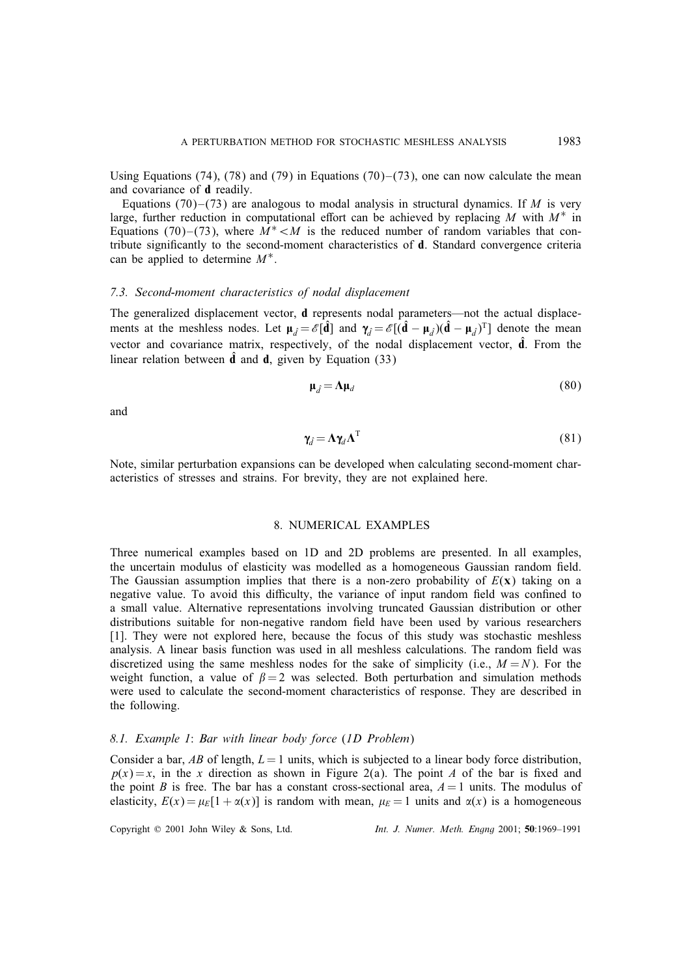Using Equations (74), (78) and (79) in Equations (70)–(73), one can now calculate the mean and covariance of d readily.

Equations  $(70)$ – $(73)$  are analogous to modal analysis in structural dynamics. If M is very large, further reduction in computational effort can be achieved by replacing M with  $M^*$  in Equations (70)–(73), where  $M^*$ < $M$  is the reduced number of random variables that contribute signicantly to the second-moment characteristics of d. Standard convergence criteria can be applied to determine  $M^*$ .

# *7.3. Second-moment characteristics of nodal displacement*

The generalized displacement vector, d represents nodal parameters—not the actual displacements at the meshless nodes. Let  $\mu_d = \mathscr{E}[\hat{\mathbf{d}}]$  and  $\gamma_d = \mathscr{E}[(\hat{\mathbf{d}} - \mu_d)(\hat{\mathbf{d}} - \mu_d)^T]$  denote the mean vector and covariance matrix, respectively, of the nodal displacement vector,  $\hat{d}$ . From the linear relation between  $\hat{d}$  and  $d$ , given by Equation (33)

$$
\mu_{\hat{d}} = \Lambda \mu_d \tag{80}
$$

and

$$
\gamma_{\hat{d}} = \Lambda \gamma_d \Lambda^{\mathrm{T}} \tag{81}
$$

Note, similar perturbation expansions can be developed when calculating second-moment characteristics of stresses and strains. For brevity, they are not explained here.

#### 8. NUMERICAL EXAMPLES

Three numerical examples based on 1D and 2D problems are presented. In all examples, the uncertain modulus of elasticity was modelled as a homogeneous Gaussian random field. The Gaussian assumption implies that there is a non-zero probability of  $E(x)$  taking on a negative value. To avoid this difficulty, the variance of input random field was confined to a small value. Alternative representations involving truncated Gaussian distribution or other distributions suitable for non-negative random field have been used by various researchers [1]. They were not explored here, because the focus of this study was stochastic meshless analysis. A linear basis function was used in all meshless calculations. The random field was discretized using the same meshless nodes for the sake of simplicity (i.e.,  $M = N$ ). For the weight function, a value of  $\beta = 2$  was selected. Both perturbation and simulation methods were used to calculate the second-moment characteristics of response. They are described in the following.

# *8.1. Example 1*: *Bar with linear body force* (*1D Problem*)

Consider a bar, AB of length,  $L = 1$  units, which is subjected to a linear body force distribution,  $p(x) = x$ , in the x direction as shown in Figure 2(a). The point A of the bar is fixed and the point B is free. The bar has a constant cross-sectional area,  $A = 1$  units. The modulus of elasticity,  $E(x) = \mu_E[1 + \alpha(x)]$  is random with mean,  $\mu_E = 1$  units and  $\alpha(x)$  is a homogeneous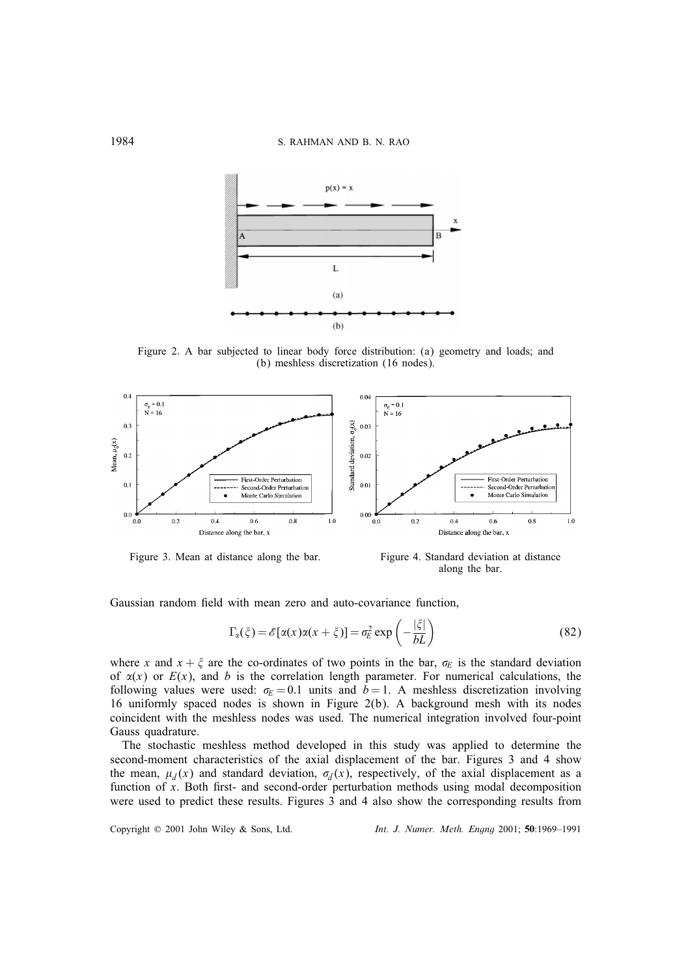

Figure 2. A bar subjected to linear body force distribution: (a) geometry and loads; and (b) meshless discretization (16 nodes).



Figure 3. Mean at distance along the bar. Figure 4. Standard deviation at distance

along the bar.

Gaussian random field with mean zero and auto-covariance function,

$$
\Gamma_{\alpha}(\xi) = \mathscr{E}[\alpha(x)\alpha(x+\xi)] = \sigma_E^2 \exp\left(-\frac{|\xi|}{bL}\right)
$$
\n(82)

where x and  $x + \xi$  are the co-ordinates of two points in the bar,  $\sigma_E$  is the standard deviation of  $x(x)$  or  $E(x)$ , and b is the correlation length parameter. For numerical calculations, the following values were used:  $\sigma_E = 0.1$  units and  $b = 1$ . A meshless discretization involving 16 uniformly spaced nodes is shown in Figure 2(b). A background mesh with its nodes coincident with the meshless nodes was used. The numerical integration involved four-point Gauss quadrature.

The stochastic meshless method developed in this study was applied to determine the second-moment characteristics of the axial displacement of the bar. Figures 3 and 4 show the mean,  $\mu_{\hat{d}}(x)$  and standard deviation,  $\sigma_{\hat{d}}(x)$ , respectively, of the axial displacement as a function of  $x$ . Both first- and second-order perturbation methods using modal decomposition were used to predict these results. Figures 3 and 4 also show the corresponding results from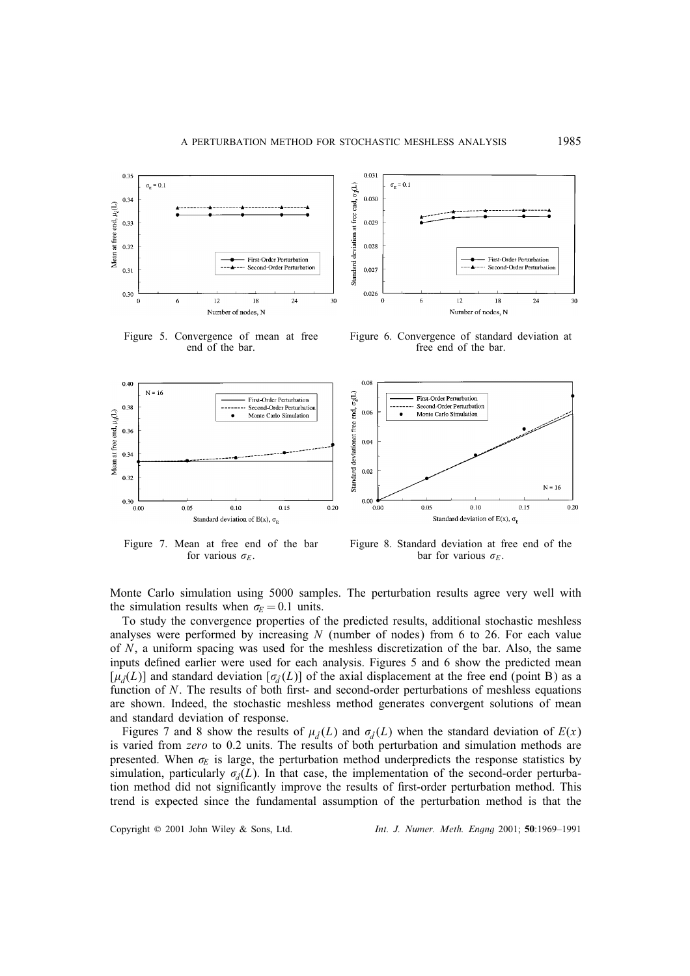

Figure 5. Convergence of mean at free end of the bar.



Figure 6. Convergence of standard deviation at free end of the bar.



Figure 7. Mean at free end of the bar for various  $\sigma_E$ .

Figure 8. Standard deviation at free end of the bar for various  $\sigma_E$ .

Monte Carlo simulation using 5000 samples. The perturbation results agree very well with the simulation results when  $\sigma_F = 0.1$  units.

To study the convergence properties of the predicted results, additional stochastic meshless analyses were performed by increasing  $N$  (number of nodes) from 6 to 26. For each value of N, a uniform spacing was used for the meshless discretization of the bar. Also, the same inputs defined earlier were used for each analysis. Figures 5 and 6 show the predicted mean  $[\mu_{\hat{d}}(L)]$  and standard deviation  $[\sigma_{\hat{d}}(L)]$  of the axial displacement at the free end (point B) as a function of  $N$ . The results of both first- and second-order perturbations of meshless equations are shown. Indeed, the stochastic meshless method generates convergent solutions of mean and standard deviation of response.

Figures 7 and 8 show the results of  $\mu_d(L)$  and  $\sigma_d(L)$  when the standard deviation of  $E(x)$ is varied from *zero* to 0.2 units. The results of both perturbation and simulation methods are presented. When  $\sigma_E$  is large, the perturbation method underpredicts the response statistics by simulation, particularly  $\sigma_d(L)$ . In that case, the implementation of the second-order perturbation method did not significantly improve the results of first-order perturbation method. This trend is expected since the fundamental assumption of the perturbation method is that the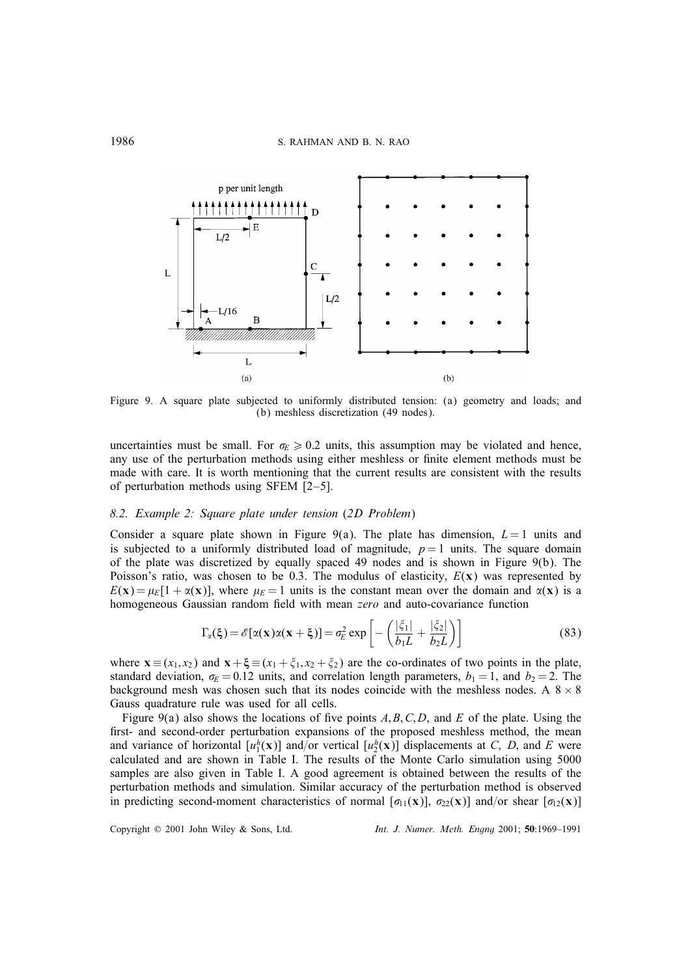

Figure 9. A square plate subjected to uniformly distributed tension: (a) geometry and loads; and (b) meshless discretization (49 nodes).

uncertainties must be small. For  $\sigma_E \geq 0.2$  units, this assumption may be violated and hence, any use of the perturbation methods using either meshless or finite element methods must be made with care. It is worth mentioning that the current results are consistent with the results of perturbation methods using SFEM [2–5].

#### *8.2. Example 2: Square plate under tension* (*2D Problem*)

Consider a square plate shown in Figure 9(a). The plate has dimension,  $L = 1$  units and is subjected to a uniformly distributed load of magnitude,  $p = 1$  units. The square domain of the plate was discretized by equally spaced 49 nodes and is shown in Figure 9(b). The Poisson's ratio, was chosen to be 0.3. The modulus of elasticity,  $E(x)$  was represented by  $E(x) = \mu_E[1 + \alpha(x)]$ , where  $\mu_E = 1$  units is the constant mean over the domain and  $\alpha(x)$  is a homogeneous Gaussian random field with mean *zero* and auto-covariance function

$$
\Gamma_{\alpha}(\xi) = \mathscr{E}[\alpha(\mathbf{x})\alpha(\mathbf{x} + \xi)] = \sigma_E^2 \exp\left[-\left(\frac{|\xi_1|}{b_1 L} + \frac{|\xi_2|}{b_2 L}\right)\right]
$$
(83)

where  $\mathbf{x} \equiv (x_1, x_2)$  and  $\mathbf{x} + \xi \equiv (x_1 + \xi_1, x_2 + \xi_2)$  are the co-ordinates of two points in the plate, standard deviation,  $\sigma_E = 0.12$  units, and correlation length parameters,  $b_1 = 1$ , and  $b_2 = 2$ . The background mesh was chosen such that its nodes coincide with the meshless nodes. A  $8 \times 8$ Gauss quadrature rule was used for all cells.

Figure 9(a) also shows the locations of five points  $A, B, C, D$ , and E of the plate. Using the first- and second-order perturbation expansions of the proposed meshless method, the mean and variance of horizontal  $[u_1^h(\mathbf{x})]$  and/or vertical  $[u_2^h(\mathbf{x})]$  displacements at C, D, and E were calculated and are shown in Table I. The results of the Monte Carlo simulation using 5000 samples are also given in Table I. A good agreement is obtained between the results of the perturbation methods and simulation. Similar accuracy of the perturbation method is observed in predicting second-moment characteristics of normal  $[\sigma_{11}(x)]$ ,  $\sigma_{22}(x)$ ] and/or shear  $[\sigma_{12}(x)]$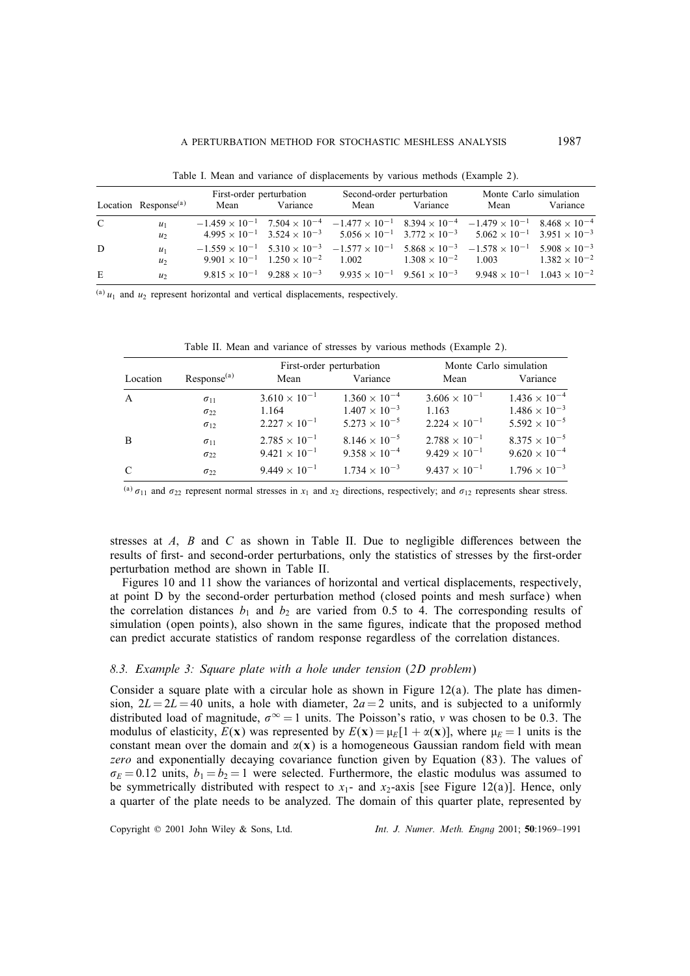|               | Location Response $(a)$ | First-order perturbation<br>Variance<br>Mean |                                                       | Second-order perturbation<br>Variance<br>Mean |                              | Monte Carlo simulation<br>Variance<br>Mean                                                                                                   |                        |
|---------------|-------------------------|----------------------------------------------|-------------------------------------------------------|-----------------------------------------------|------------------------------|----------------------------------------------------------------------------------------------------------------------------------------------|------------------------|
|               |                         |                                              |                                                       |                                               |                              |                                                                                                                                              |                        |
| $\mathcal{C}$ | $u_1$                   |                                              |                                                       |                                               |                              | $-1.459 \times 10^{-1}$ $7.504 \times 10^{-4}$ $-1.477 \times 10^{-1}$ $8.394 \times 10^{-4}$ $-1.479 \times 10^{-1}$ $8.468 \times 10^{-4}$ |                        |
|               | $u_2$                   |                                              |                                                       |                                               |                              | $4.995 \times 10^{-1}$ $3.524 \times 10^{-3}$ $5.056 \times 10^{-1}$ $3.772 \times 10^{-3}$ $5.062 \times 10^{-1}$ $3.951 \times 10^{-3}$    |                        |
| D             | $u_1$                   |                                              |                                                       |                                               |                              | $-1.559 \times 10^{-1}$ $5.310 \times 10^{-3}$ $-1.577 \times 10^{-1}$ $5.868 \times 10^{-3}$ $-1.578 \times 10^{-1}$ $5.908 \times 10^{-3}$ |                        |
|               | $u_2$                   |                                              | $9.901 \times 10^{-1}$ $1.250 \times 10^{-2}$ $1.002$ |                                               | $1.308 \times 10^{-2}$ 1.003 |                                                                                                                                              | $1.382 \times 10^{-2}$ |
| E             | u <sub>2</sub>          |                                              |                                                       |                                               |                              | $9.815 \times 10^{-1}$ $9.288 \times 10^{-3}$ $9.935 \times 10^{-1}$ $9.561 \times 10^{-3}$ $9.948 \times 10^{-1}$ $1.043 \times 10^{-2}$    |                        |

Table I. Mean and variance of displacements by various methods (Example 2).

 $^{(a)}$   $u_1$  and  $u_2$  represent horizontal and vertical displacements, respectively.

|               |                                |                                                  | First-order perturbation                         | Monte Carlo simulation                           |                                                  |  |
|---------------|--------------------------------|--------------------------------------------------|--------------------------------------------------|--------------------------------------------------|--------------------------------------------------|--|
| Location      | Respose <sup>(a)</sup>         | Mean                                             | Variance                                         | Mean                                             | Variance                                         |  |
| A             | $\sigma_{11}$                  | $3.610 \times 10^{-1}$                           | $1.360 \times 10^{-4}$                           | $3.606 \times 10^{-1}$                           | $1.436 \times 10^{-4}$                           |  |
|               | $\sigma_{22}$                  | 1.164                                            | $1.407 \times 10^{-3}$                           | 1.163                                            | $1.486 \times 10^{-3}$                           |  |
|               | $\sigma_{12}$                  | $2.227 \times 10^{-1}$                           | $5.273 \times 10^{-5}$                           | $2.224 \times 10^{-1}$                           | $5.592 \times 10^{-5}$                           |  |
| B             | $\sigma_{11}$<br>$\sigma_{22}$ | $2.785 \times 10^{-1}$<br>$9.421 \times 10^{-1}$ | $8.146 \times 10^{-5}$<br>$9.358 \times 10^{-4}$ | $2.788 \times 10^{-1}$<br>$9.429 \times 10^{-1}$ | $8.375 \times 10^{-5}$<br>$9.620 \times 10^{-4}$ |  |
| $\mathcal{C}$ | $\sigma_{22}$                  | $9.449 \times 10^{-1}$                           | $1.734 \times 10^{-3}$                           | $9.437 \times 10^{-1}$                           | $1.796 \times 10^{-3}$                           |  |

Table II. Mean and variance of stresses by various methods (Example 2).

(a)  $\sigma_{11}$  and  $\sigma_{22}$  represent normal stresses in  $x_1$  and  $x_2$  directions, respectively; and  $\sigma_{12}$  represents shear stress.

stresses at  $A$ ,  $B$  and  $C$  as shown in Table II. Due to negligible differences between the results of first- and second-order perturbations, only the statistics of stresses by the first-order perturbation method are shown in Table II.

Figures 10 and 11 show the variances of horizontal and vertical displacements, respectively, at point D by the second-order perturbation method (closed points and mesh surface) when the correlation distances  $b_1$  and  $b_2$  are varied from 0.5 to 4. The corresponding results of simulation (open points), also shown in the same figures, indicate that the proposed method can predict accurate statistics of random response regardless of the correlation distances.

## *8.3. Example 3: Square plate with a hole under tension* (*2D problem*)

Consider a square plate with a circular hole as shown in Figure  $12(a)$ . The plate has dimension,  $2L = 2L = 40$  units, a hole with diameter,  $2a = 2$  units, and is subjected to a uniformly distributed load of magnitude,  $\sigma^{\infty} = 1$  units. The Poisson's ratio, v was chosen to be 0.3. The modulus of elasticity,  $E(x)$  was represented by  $E(x) = \mu_E[1 + \alpha(x)]$ , where  $\mu_E = 1$  units is the constant mean over the domain and  $\alpha(\mathbf{x})$  is a homogeneous Gaussian random field with mean *zero* and exponentially decaying covariance function given by Equation (83). The values of  $\sigma_E = 0.12$  units,  $b_1 = b_2 = 1$  were selected. Furthermore, the elastic modulus was assumed to be symmetrically distributed with respect to  $x_1$ - and  $x_2$ -axis [see Figure 12(a)]. Hence, only a quarter of the plate needs to be analyzed. The domain of this quarter plate, represented by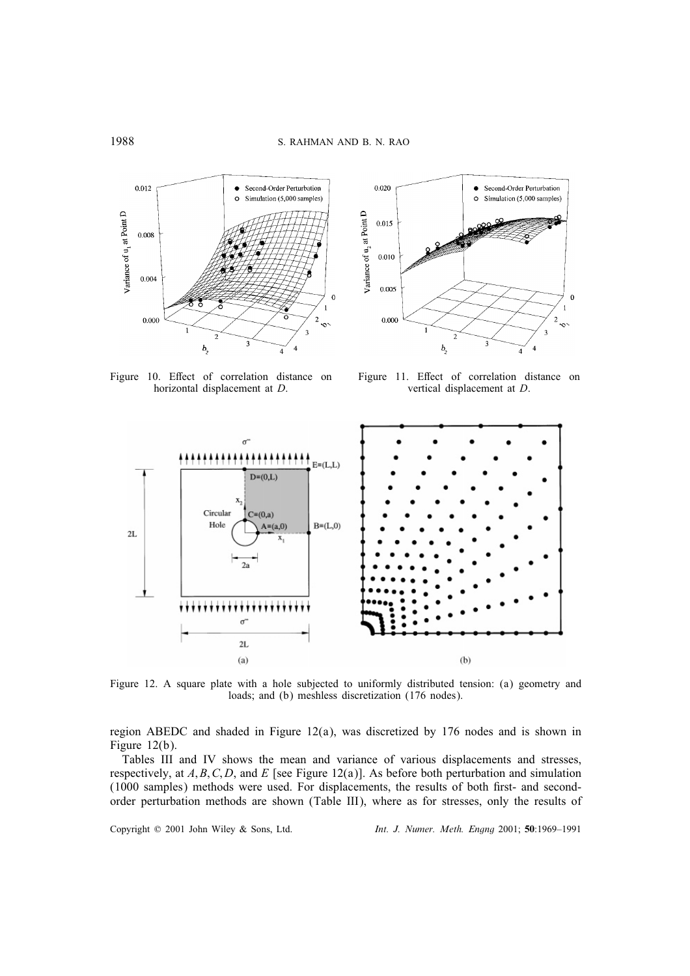

Figure 10. Effect of correlation distance on horizontal displacement at D.



Figure 11. Effect of correlation distance on vertical displacement at D.



Figure 12. A square plate with a hole subjected to uniformly distributed tension: (a) geometry and loads; and (b) meshless discretization (176 nodes).

region ABEDC and shaded in Figure  $12(a)$ , was discretized by 176 nodes and is shown in Figure 12(b).

Tables III and IV shows the mean and variance of various displacements and stresses, respectively, at  $A, B, C, D$ , and E [see Figure 12(a)]. As before both perturbation and simulation (1000 samples) methods were used. For displacements, the results of both first- and secondorder perturbation methods are shown (Table III), where as for stresses, only the results of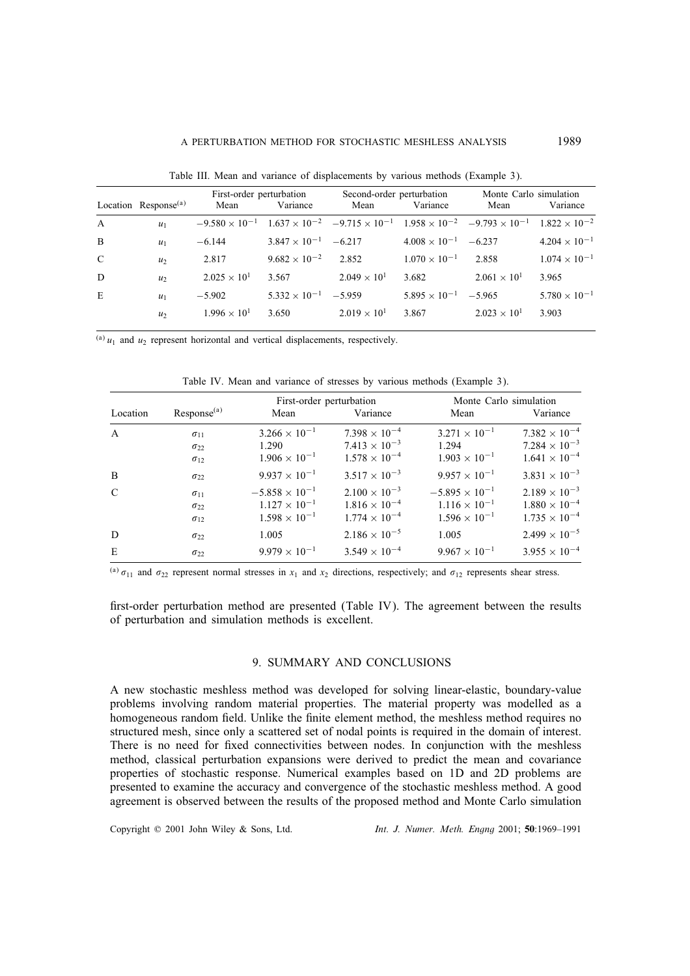|              |                         | First-order perturbation |                               | Second-order perturbation |                               | Monte Carlo simulation                                                                                                                       |                        |
|--------------|-------------------------|--------------------------|-------------------------------|---------------------------|-------------------------------|----------------------------------------------------------------------------------------------------------------------------------------------|------------------------|
|              | Location Response $(a)$ | Mean                     | Variance                      | Mean                      | Variance                      | Mean                                                                                                                                         | Variance               |
| $\mathbf{A}$ | $u_1$                   |                          |                               |                           |                               | $-9.580 \times 10^{-1}$ $1.637 \times 10^{-2}$ $-9.715 \times 10^{-1}$ $1.958 \times 10^{-2}$ $-9.793 \times 10^{-1}$ $1.822 \times 10^{-2}$ |                        |
| B            | $u_1$                   | $-6.144$                 | $3.847 \times 10^{-1}$ -6.217 |                           | $4.008 \times 10^{-1}$ -6.237 |                                                                                                                                              | $4.204 \times 10^{-1}$ |
| $\mathbf C$  | u <sub>2</sub>          | 2.817                    | $9.682 \times 10^{-2}$ 2.852  |                           | $1.070 \times 10^{-1}$        | 2.858                                                                                                                                        | $1.074 \times 10^{-1}$ |
| D            | u <sub>2</sub>          | $2.025 \times 10^{1}$    | 3.567                         | $2.049 \times 10^{1}$     | 3.682                         | $2.061 \times 10^{1}$                                                                                                                        | 3.965                  |
| E            | $u_1$                   | $-5.902$                 | $5.332 \times 10^{-1}$ -5.959 |                           | $5.895 \times 10^{-1}$ -5.965 |                                                                                                                                              | $5.780 \times 10^{-1}$ |
|              | u <sub>2</sub>          | $1.996 \times 10^{1}$    | 3.650                         | $2.019 \times 10^{1}$     | 3.867                         | $2.023 \times 10^{1}$                                                                                                                        | 3.903                  |

Table III. Mean and variance of displacements by various methods (Example 3).

(a)  $u_1$  and  $u_2$  represent horizontal and vertical displacements, respectively.

|               |                        | First-order perturbation |                        | Monte Carlo simulation  |                        |  |
|---------------|------------------------|--------------------------|------------------------|-------------------------|------------------------|--|
| Location      | Respose <sup>(a)</sup> | Mean                     | Variance               | Mean                    | Variance               |  |
| $\mathbf{A}$  | $\sigma_{11}$          | $3.266 \times 10^{-1}$   | $7.398 \times 10^{-4}$ | $3.271 \times 10^{-1}$  | $7.382\times10^{-4}$   |  |
|               | $\sigma_{22}$          | 1.290                    | $7.413 \times 10^{-3}$ | 1.294                   | $7.284 \times 10^{-3}$ |  |
|               | $\sigma_{12}$          | $1.906 \times 10^{-1}$   | $1.578 \times 10^{-4}$ | $1.903 \times 10^{-1}$  | $1.641 \times 10^{-4}$ |  |
| B             | $\sigma_{22}$          | $9.937 \times 10^{-1}$   | $3.517 \times 10^{-3}$ | $9.957 \times 10^{-1}$  | $3.831 \times 10^{-3}$ |  |
| $\mathcal{C}$ | $\sigma_{11}$          | $-5.858 \times 10^{-1}$  | $2.100 \times 10^{-3}$ | $-5.895 \times 10^{-1}$ | $2.189 \times 10^{-3}$ |  |
|               | $\sigma_{22}$          | $1.127 \times 10^{-1}$   | $1.816 \times 10^{-4}$ | $1.116 \times 10^{-1}$  | $1.880 \times 10^{-4}$ |  |
|               | $\sigma_{12}$          | $1.598 \times 10^{-1}$   | $1.774 \times 10^{-4}$ | $1.596 \times 10^{-1}$  | $1.735 \times 10^{-4}$ |  |
| D             | $\sigma_{22}$          | 1.005                    | $2.186 \times 10^{-5}$ | 1.005                   | $2.499 \times 10^{-5}$ |  |
| E             | $\sigma_{22}$          | $9.979 \times 10^{-1}$   | $3.549 \times 10^{-4}$ | $9.967 \times 10^{-1}$  | $3.955 \times 10^{-4}$ |  |

Table IV. Mean and variance of stresses by various methods (Example 3).

(a)  $\sigma_{11}$  and  $\sigma_{22}$  represent normal stresses in  $x_1$  and  $x_2$  directions, respectively; and  $\sigma_{12}$  represents shear stress.

first-order perturbation method are presented (Table IV). The agreement between the results of perturbation and simulation methods is excellent.

## 9. SUMMARY AND CONCLUSIONS

A new stochastic meshless method was developed for solving linear-elastic, boundary-value problems involving random material properties. The material property was modelled as a homogeneous random field. Unlike the finite element method, the meshless method requires no structured mesh, since only a scattered set of nodal points is required in the domain of interest. There is no need for fixed connectivities between nodes. In conjunction with the meshless method, classical perturbation expansions were derived to predict the mean and covariance properties of stochastic response. Numerical examples based on 1D and 2D problems are presented to examine the accuracy and convergence of the stochastic meshless method. A good agreement is observed between the results of the proposed method and Monte Carlo simulation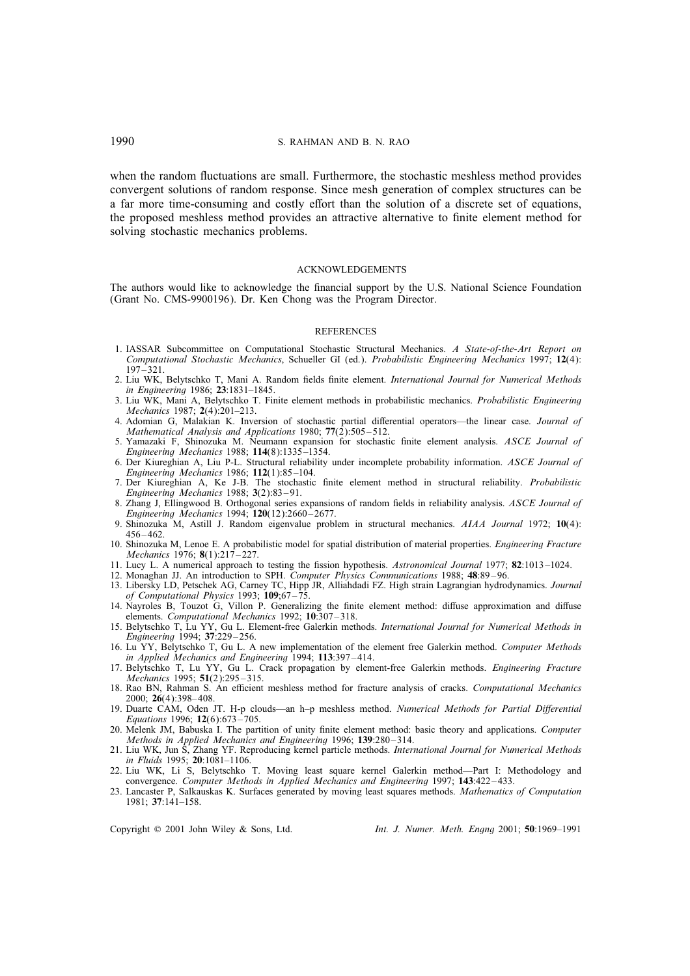when the random fluctuations are small. Furthermore, the stochastic meshless method provides convergent solutions of random response. Since mesh generation of complex structures can be a far more time-consuming and costly effort than the solution of a discrete set of equations, the proposed meshless method provides an attractive alternative to finite element method for solving stochastic mechanics problems.

#### ACKNOWLEDGEMENTS

The authors would like to acknowledge the financial support by the U.S. National Science Foundation (Grant No. CMS-9900196). Dr. Ken Chong was the Program Director.

#### **REFERENCES**

- 1. IASSAR Subcommittee on Computational Stochastic Structural Mechanics. *A State-of-the-Art Report on Computational Stochastic Mechanics*, Schueller GI (ed.). *Probabilistic Engineering Mechanics* 1997; 12(4):  $197 - 321$ .
- 2. Liu WK, Belytschko T, Mani A. Random fields finite element. *International Journal for Numerical Methods in Engineering* 1986; 23:1831–1845.
- 3. Liu WK, Mani A, Belytschko T. Finite element methods in probabilistic mechanics. *Probabilistic Engineering Mechanics* 1987; 2(4):201–213.
- 4. Adomian G, Malakian K. Inversion of stochastic partial dierential operators—the linear case. *Journal of Mathematical Analysis and Applications* 1980; 77(2):505–512.
- 5. Yamazaki F, Shinozuka M. Neumann expansion for stochastic nite element analysis. *ASCE Journal of Engineering Mechanics* 1988; 114(8):1335 –1354.
- 6. Der Kiureghian A, Liu P-L. Structural reliability under incomplete probability information. *ASCE Journal of Engineering Mechanics* 1986; 112(1):85 –104.
- 7. Der Kiureghian A, Ke J-B. The stochastic nite element method in structural reliability. *Probabilistic Engineering Mechanics* 1988; 3(2):83 – 91.
- 8. Zhang J, Ellingwood B. Orthogonal series expansions of random fields in reliability analysis. *ASCE Journal of Engineering Mechanics* 1994; 120(12):2660 – 2677.
- 9. Shinozuka M, Astill J. Random eigenvalue problem in structural mechanics. *AIAA Journal* 1972; 10(4): 456 – 462.
- 10. Shinozuka M, Lenoe E. A probabilistic model for spatial distribution of material properties. *Engineering Fracture Mechanics* 1976; 8(1):217 – 227.
- 11. Lucy L. A numerical approach to testing the fission hypothesis. *Astronomical Journal* 1977; 82:1013–1024.
- 12. Monaghan JJ. An introduction to SPH. *Computer Physics Communications* 1988; 48:89 96.
- 13. Libersky LD, Petschek AG, Carney TC, Hipp JR, Alliahdadi FZ. High strain Lagrangian hydrodynamics. *Journal of Computational Physics* 1993; 109;67 – 75.
- 14. Nayroles B, Touzot G, Villon P. Generalizing the finite element method: diffuse approximation and diffuse elements. *Computational Mechanics* 1992; 10:307-318.
- 15. Belytschko T, Lu YY, Gu L. Element-free Galerkin methods. *International Journal for Numerical Methods in Engineering* 1994; 37:229 – 256.
- 16. Lu YY, Belytschko T, Gu L. A new implementation of the element free Galerkin method. *Computer Methods in Applied Mechanics and Engineering* 1994; 113:397 – 414.
- 17. Belytschko T, Lu YY, Gu L. Crack propagation by element-free Galerkin methods. *Engineering Fracture Mechanics* 1995; 51(2):295 – 315.
- 18. Rao BN, Rahman S. An efficient meshless method for fracture analysis of cracks. *Computational Mechanics* 2000; 26(4):398– 408.
- 19. Duarte CAM, Oden JT. H-p clouds—an h–p meshless method. *Numerical Methods for Partial Dierential Equations* 1996; 12(6):673 – 705.
- 20. Melenk JM, Babuska I. The partition of unity finite element method: basic theory and applications. *Computer Methods in Applied Mechanics and Engineering* 1996; 139:280-314.
- 21. Liu WK, Jun S, Zhang YF. Reproducing kernel particle methods. *International Journal for Numerical Methods in Fluids* 1995; 20:1081–1106.
- 22. Liu WK, Li S, Belytschko T. Moving least square kernel Galerkin method—Part I: Methodology and convergence. *Computer Methods in Applied Mechanics and Engineering* 1997; 143:422 – 433.
- 23. Lancaster P, Salkauskas K. Surfaces generated by moving least squares methods. *Mathematics of Computation* 1981; 37:141–158.